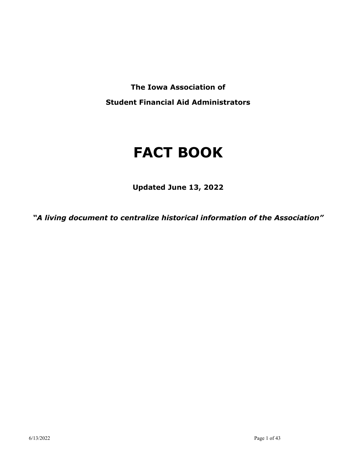**The Iowa Association of Student Financial Aid Administrators**

# **FACT BOOK**

**Updated June 13, 2022**

*"A living document to centralize historical information of the Association"*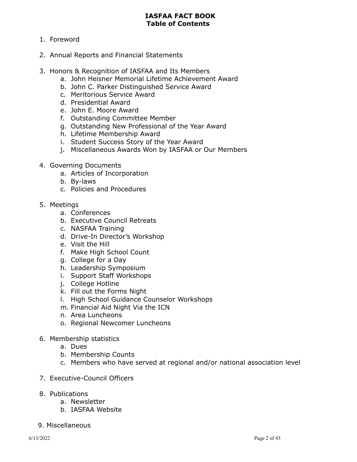# **IASFAA FACT BOOK Table of Contents**

- 1. Foreword
- 2. Annual Reports and Financial Statements
- 3. Honors & Recognition of IASFAA and Its Members
	- a. John Heisner Memorial Lifetime Achievement Award
	- b. John C. Parker Distinguished Service Award
	- c. Meritorious Service Award
	- d. Presidential Award
	- e. John E. Moore Award
	- f. Outstanding Committee Member
	- g. Outstanding New Professional of the Year Award
	- h. Lifetime Membership Award
	- i. Student Success Story of the Year Award
	- j. Miscellaneous Awards Won by IASFAA or Our Members
- 4. Governing Documents
	- a. Articles of Incorporation
	- b. By-laws
	- c. Policies and Procedures
- 5. Meetings
	- a. Conferences
	- b. Executive Council Retreats
	- c. NASFAA Training
	- d. Drive-In Director's Workshop
	- e. Visit the Hill
	- f. Make High School Count
	- g. College for a Day
	- h. Leadership Symposium
	- i. Support Staff Workshops
	- j. College Hotline
	- k. Fill out the Forms Night
	- l. High School Guidance Counselor Workshops
	- m. Financial Aid Night Via the ICN
	- n. Area Luncheons
	- o. Regional Newcomer Luncheons
- 6. Membership statistics
	- a. Dues
	- b. Membership Counts
	- c. Members who have served at regional and/or national association level
- 7. Executive-Council Officers
- 8. Publications
	- a. Newsletter
	- b. IASFAA Website
- 9. Miscellaneous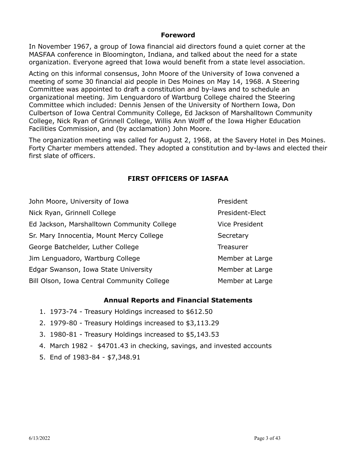# **Foreword**

In November 1967, a group of Iowa financial aid directors found a quiet corner at the MASFAA conference in Bloomington, Indiana, and talked about the need for a state organization. Everyone agreed that Iowa would benefit from a state level association.

Acting on this informal consensus, John Moore of the University of Iowa convened a meeting of some 30 financial aid people in Des Moines on May 14, 1968. A Steering Committee was appointed to draft a constitution and by-laws and to schedule an organizational meeting. Jim Lenguardoro of Wartburg College chaired the Steering Committee which included: Dennis Jensen of the University of Northern Iowa, Don Culbertson of Iowa Central Community College, Ed Jackson of Marshalltown Community College, Nick Ryan of Grinnell College, Willis Ann Wolff of the Iowa Higher Education Facilities Commission, and (by acclamation) John Moore.

The organization meeting was called for August 2, 1968, at the Savery Hotel in Des Moines. Forty Charter members attended. They adopted a constitution and by-laws and elected their first slate of officers.

# **FIRST OFFICERS OF IASFAA**

| John Moore, University of Iowa             | President       |
|--------------------------------------------|-----------------|
| Nick Ryan, Grinnell College                | President-Elect |
| Ed Jackson, Marshalltown Community College | Vice President  |
| Sr. Mary Innocentia, Mount Mercy College   | Secretary       |
| George Batchelder, Luther College          | Treasurer       |
| Jim Lenguadoro, Wartburg College           | Member at Large |
| Edgar Swanson, Iowa State University       | Member at Large |
| Bill Olson, Iowa Central Community College | Member at Large |

# **Annual Reports and Financial Statements**

- 1. 1973-74 Treasury Holdings increased to \$612.50
- 2. 1979-80 Treasury Holdings increased to \$3,113.29
- 3. 1980-81 Treasury Holdings increased to \$5,143.53
- 4. March 1982 \$4701.43 in checking, savings, and invested accounts
- 5. End of 1983-84 \$7,348.91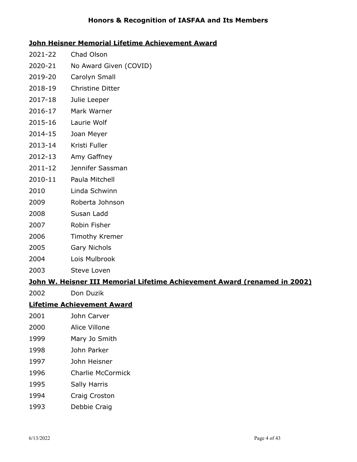# **Honors & Recognition of IASFAA and Its Members**

# **John Heisner Memorial Lifetime Achievement Award**

- 2021-22 Chad Olson
- 2020-21 No Award Given (COVID)
- 2019-20 Carolyn Small
- 2018-19 Christine Ditter
- 2017-18 Julie Leeper
- 2016-17 Mark Warner
- 2015-16 Laurie Wolf
- 2014-15 Joan Meyer
- 2013-14 Kristi Fuller
- 2012-13 Amy Gaffney
- 2011-12 Jennifer Sassman
- 2010-11 Paula Mitchell
- 2010 Linda Schwinn
- 2009 Roberta Johnson
- 2008 Susan Ladd
- 2007 Robin Fisher
- 2006 Timothy Kremer
- 2005 Gary Nichols
- 2004 Lois Mulbrook
- 2003 Steve Loven

# **John W. Heisner III Memorial Lifetime Achievement Award (renamed in 2002)**

2002 Don Duzik

# **Lifetime Achievement Award**

- 2001 John Carver
- 2000 Alice Villone
- 1999 Mary Jo Smith
- 1998 John Parker
- 1997 John Heisner
- 1996 Charlie McCormick
- 1995 Sally Harris
- 1994 Craig Croston
- 1993 Debbie Craig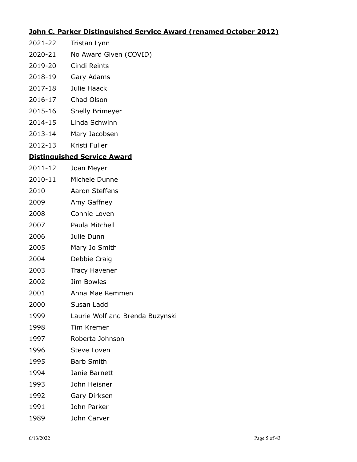# **John C. Parker Distinguished Service Award (renamed October 2012)**

- 2021-22 Tristan Lynn
- 2020-21 No Award Given (COVID)
- 2019-20 Cindi Reints
- 2018-19 Gary Adams
- 2017-18 Julie Haack
- 2016-17 Chad Olson
- 2015-16 Shelly Brimeyer
- 2014-15 Linda Schwinn
- 2013-14 Mary Jacobsen
- 2012-13 Kristi Fuller

# **Distinguished Service Award**

- 2011-12 Joan Meyer
- 2010-11 Michele Dunne
- 2010 Aaron Steffens
- 2009 Amy Gaffney
- 2008 Connie Loven
- 2007 Paula Mitchell
- 2006 Julie Dunn
- 2005 Mary Jo Smith
- 2004 Debbie Craig
- 2003 Tracy Havener
- 2002 Jim Bowles
- 2001 Anna Mae Remmen
- 2000 Susan Ladd
- 1999 Laurie Wolf and Brenda Buzynski
- 1998 Tim Kremer
- 1997 Roberta Johnson
- 1996 Steve Loven
- 1995 Barb Smith
- 1994 Janie Barnett
- 1993 John Heisner
- 1992 Gary Dirksen
- 1991 John Parker
- 1989 John Carver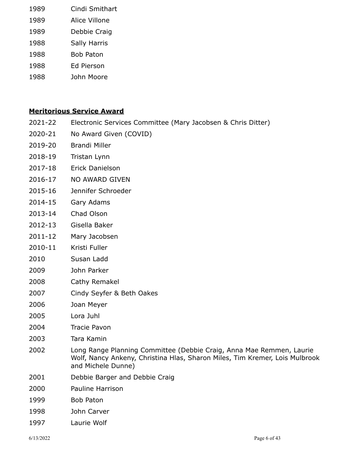| 1989 | Cindi Smithart      |
|------|---------------------|
| 1989 | Alice Villone       |
| 1989 | Debbie Craig        |
| 1988 | <b>Sally Harris</b> |
| 1988 | Bob Paton           |
| 1988 | Ed Pierson          |
| 1988 | John Moore          |

# **Meritorious Service Award**

- 2021-22 Electronic Services Committee (Mary Jacobsen & Chris Ditter)
- 2020-21 No Award Given (COVID)
- 2019-20 Brandi Miller
- 2018-19 Tristan Lynn
- 2017-18 Erick Danielson
- 2016-17 NO AWARD GIVEN
- 2015-16 Jennifer Schroeder
- 2014-15 Gary Adams
- 2013-14 Chad Olson
- 2012-13 Gisella Baker
- 2011-12 Mary Jacobsen
- 2010-11 Kristi Fuller
- 2010 Susan Ladd
- 2009 John Parker
- 2008 Cathy Remakel
- 2007 Cindy Seyfer & Beth Oakes
- 2006 Joan Meyer
- 2005 Lora Juhl
- 2004 Tracie Pavon
- 2003 Tara Kamin
- 2002 Long Range Planning Committee (Debbie Craig, Anna Mae Remmen, Laurie Wolf, Nancy Ankeny, Christina Hlas, Sharon Miles, Tim Kremer, Lois Mulbrook and Michele Dunne)
- 2001 Debbie Barger and Debbie Craig
- 2000 Pauline Harrison
- 1999 Bob Paton
- 1998 John Carver
- 1997 Laurie Wolf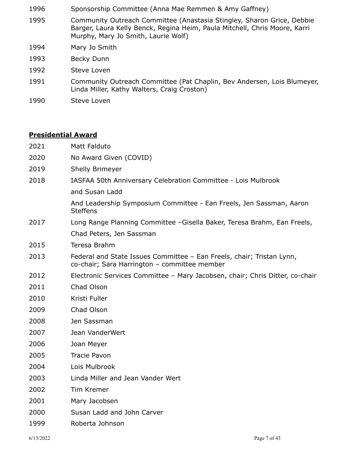- Sponsorship Committee (Anna Mae Remmen & Amy Gaffney)
- Community Outreach Committee (Anastasia Stingley, Sharon Grice, Debbie Barger, Laura Kelly Benck, Regina Heim, Paula Mitchell, Chris Moore, Karri Murphy, Mary Jo Smith, Laurie Wolf)
- Mary Jo Smith
- Becky Dunn
- Steve Loven
- Community Outreach Committee (Pat Chaplin, Bev Andersen, Lois Blumeyer, Linda Miller, Kathy Walters, Craig Croston)
- Steve Loven

# **Presidential Award**

- Matt Falduto
- No Award Given (COVID)
- Shelly Brimeyer
- IASFAA 50th Anniversary Celebration Committee Lois Mulbrook
	- and Susan Ladd

And Leadership Symposium Committee - Ean Freels, Jen Sassman, Aaron **Steffens** 

- Long Range Planning Committee –Gisella Baker, Teresa Brahm, Ean Freels, Chad Peters, Jen Sassman
- Teresa Brahm
- Federal and State Issues Committee Ean Freels, chair; Tristan Lynn, co-chair; Sara Harrington – committee member
- Electronic Services Committee Mary Jacobsen, chair; Chris Ditter, co-chair
- Chad Olson
- Kristi Fuller
- Chad Olson
- Jen Sassman
- Jean VanderWert
- Joan Meyer
- Tracie Pavon
- Lois Mulbrook
- Linda Miller and Jean Vander Wert
- Tim Kremer
- Mary Jacobsen
- Susan Ladd and John Carver
- Roberta Johnson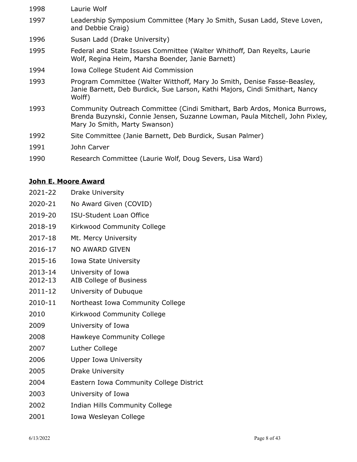Laurie Wolf Leadership Symposium Committee (Mary Jo Smith, Susan Ladd, Steve Loven, and Debbie Craig) Susan Ladd (Drake University) Federal and State Issues Committee (Walter Whithoff, Dan Reyelts, Laurie Wolf, Regina Heim, Marsha Boender, Janie Barnett) Iowa College Student Aid Commission Program Committee (Walter Witthoff, Mary Jo Smith, Denise Fasse-Beasley, Janie Barnett, Deb Burdick, Sue Larson, Kathi Majors, Cindi Smithart, Nancy Wolff) Community Outreach Committee (Cindi Smithart, Barb Ardos, Monica Burrows, Brenda Buzynski, Connie Jensen, Suzanne Lowman, Paula Mitchell, John Pixley, Mary Jo Smith, Marty Swanson) Site Committee (Janie Barnett, Deb Burdick, Susan Palmer) John Carver Research Committee (Laurie Wolf, Doug Severs, Lisa Ward)

# **John E. Moore Award**

- 2021-22 Drake University
- 2020-21 No Award Given (COVID)
- 2019-20 ISU-Student Loan Office
- 2018-19 Kirkwood Community College
- 2017-18 Mt. Mercy University
- 2016-17 NO AWARD GIVEN
- 2015-16 Iowa State University
- 2013-14 University of Iowa
- 2012-13 AIB College of Business
- 2011-12 University of Dubuque
- 2010-11 Northeast Iowa Community College
- 2010 Kirkwood Community College
- 2009 University of Iowa
- 2008 Hawkeye Community College
- 2007 Luther College
- 2006 Upper Iowa University
- 2005 Drake University
- 2004 Eastern Iowa Community College District
- 2003 University of Iowa
- 2002 Indian Hills Community College
- 2001 Iowa Wesleyan College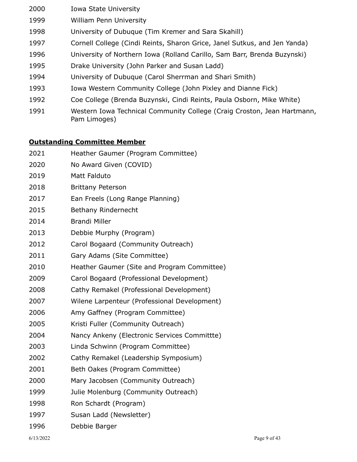- Iowa State University William Penn University University of Dubuque (Tim Kremer and Sara Skahill) Cornell College (Cindi Reints, Sharon Grice, Janel Sutkus, and Jen Yanda) University of Northern Iowa (Rolland Carillo, Sam Barr, Brenda Buzynski) Drake University (John Parker and Susan Ladd) University of Dubuque (Carol Sherrman and Shari Smith)
- Iowa Western Community College (John Pixley and Dianne Fick)
- Coe College (Brenda Buzynski, Cindi Reints, Paula Osborn, Mike White)
- Western Iowa Technical Community College (Craig Croston, Jean Hartmann, Pam Limoges)

# **Outstanding Committee Member**

| 2021 | Heather Gaumer (Program Committee)           |
|------|----------------------------------------------|
| 2020 | No Award Given (COVID)                       |
| 2019 | Matt Falduto                                 |
| 2018 | <b>Brittany Peterson</b>                     |
| 2017 | Ean Freels (Long Range Planning)             |
| 2015 | Bethany Rindernecht                          |
| 2014 | <b>Brandi Miller</b>                         |
| 2013 | Debbie Murphy (Program)                      |
| 2012 | Carol Bogaard (Community Outreach)           |
| 2011 | Gary Adams (Site Committee)                  |
| 2010 | Heather Gaumer (Site and Program Committee)  |
| 2009 | Carol Bogaard (Professional Development)     |
| 2008 | Cathy Remakel (Professional Development)     |
| 2007 | Wilene Larpenteur (Professional Development) |
| 2006 | Amy Gaffney (Program Committee)              |
| 2005 | Kristi Fuller (Community Outreach)           |
| 2004 | Nancy Ankeny (Electronic Services Committte) |
| 2003 | Linda Schwinn (Program Committee)            |
| 2002 | Cathy Remakel (Leadership Symposium)         |
| 2001 | Beth Oakes (Program Committee)               |
| 2000 | Mary Jacobsen (Community Outreach)           |
| 1999 | Julie Molenburg (Community Outreach)         |
| 1998 | Ron Schardt (Program)                        |
| 1997 | Susan Ladd (Newsletter)                      |
| 1996 | Debbie Barger                                |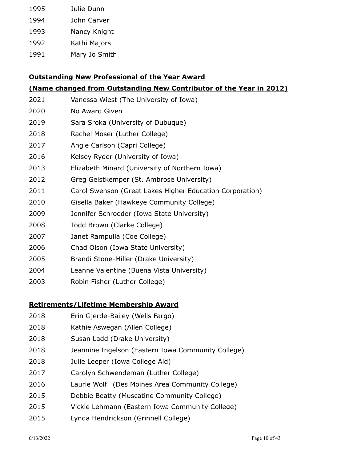| 1995 | Julie Dunn    |
|------|---------------|
| 1994 | John Carver   |
| 1993 | Nancy Knight  |
| 1992 | Kathi Majors  |
| 1991 | Mary Jo Smith |

# **Outstanding New Professional of the Year Award**

# **(Name changed from Outstanding New Contributor of the Year in 2012)**

| 2021 | Vanessa Wiest (The University of Iowa)                   |
|------|----------------------------------------------------------|
| 2020 | No Award Given                                           |
| 2019 | Sara Sroka (University of Dubuque)                       |
| 2018 | Rachel Moser (Luther College)                            |
| 2017 | Angie Carlson (Capri College)                            |
| 2016 | Kelsey Ryder (University of Iowa)                        |
| 2013 | Elizabeth Minard (University of Northern Iowa)           |
| 2012 | Greg Geistkemper (St. Ambrose University)                |
| 2011 | Carol Swenson (Great Lakes Higher Education Corporation) |
| 2010 | Gisella Baker (Hawkeye Community College)                |
| 2009 | Jennifer Schroeder (Iowa State University)               |
| 2008 | Todd Brown (Clarke College)                              |
| 2007 | Janet Rampulla (Coe College)                             |
| 2006 | Chad Olson (Iowa State University)                       |
| 2005 | Brandi Stone-Miller (Drake University)                   |
| 2004 | Leanne Valentine (Buena Vista University)                |

Robin Fisher (Luther College)

# **Retirements/Lifetime Membership Award**

- Erin Gjerde-Bailey (Wells Fargo)
- Kathie Aswegan (Allen College)
- Susan Ladd (Drake University)
- Jeannine Ingelson (Eastern Iowa Community College)
- Julie Leeper (Iowa College Aid)
- Carolyn Schwendeman (Luther College)
- Laurie Wolf (Des Moines Area Community College)
- Debbie Beatty (Muscatine Community College)
- Vickie Lehmann (Eastern Iowa Community College)
- Lynda Hendrickson (Grinnell College)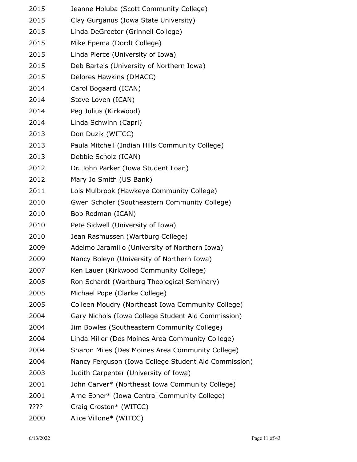| 2015 | Jeanne Holuba (Scott Community College)              |
|------|------------------------------------------------------|
| 2015 | Clay Gurganus (Iowa State University)                |
| 2015 | Linda DeGreeter (Grinnell College)                   |
| 2015 | Mike Epema (Dordt College)                           |
| 2015 | Linda Pierce (University of Iowa)                    |
| 2015 | Deb Bartels (University of Northern Iowa)            |
| 2015 | Delores Hawkins (DMACC)                              |
| 2014 | Carol Bogaard (ICAN)                                 |
| 2014 | Steve Loven (ICAN)                                   |
| 2014 | Peg Julius (Kirkwood)                                |
| 2014 | Linda Schwinn (Capri)                                |
| 2013 | Don Duzik (WITCC)                                    |
| 2013 | Paula Mitchell (Indian Hills Community College)      |
| 2013 | Debbie Scholz (ICAN)                                 |
| 2012 | Dr. John Parker (Iowa Student Loan)                  |
| 2012 | Mary Jo Smith (US Bank)                              |
| 2011 | Lois Mulbrook (Hawkeye Community College)            |
| 2010 | Gwen Scholer (Southeastern Community College)        |
| 2010 | Bob Redman (ICAN)                                    |
| 2010 | Pete Sidwell (University of Iowa)                    |
| 2010 | Jean Rasmussen (Wartburg College)                    |
| 2009 | Adelmo Jaramillo (University of Northern Iowa)       |
| 2009 | Nancy Boleyn (University of Northern Iowa)           |
| 2007 | Ken Lauer (Kirkwood Community College)               |
| 2005 | Ron Schardt (Wartburg Theological Seminary)          |
| 2005 | Michael Pope (Clarke College)                        |
| 2005 | Colleen Moudry (Northeast Iowa Community College)    |
| 2004 | Gary Nichols (Iowa College Student Aid Commission)   |
| 2004 | Jim Bowles (Southeastern Community College)          |
| 2004 | Linda Miller (Des Moines Area Community College)     |
| 2004 | Sharon Miles (Des Moines Area Community College)     |
| 2004 | Nancy Ferguson (Iowa College Student Aid Commission) |
| 2003 | Judith Carpenter (University of Iowa)                |
| 2001 | John Carver* (Northeast Iowa Community College)      |
| 2001 | Arne Ebner* (Iowa Central Community College)         |
| ???? | Craig Croston* (WITCC)                               |
| 2000 | Alice Villone* (WITCC)                               |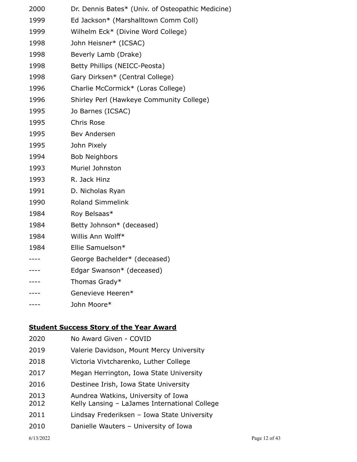| 2000 | Dr. Dennis Bates* (Univ. of Osteopathic Medicine) |
|------|---------------------------------------------------|
| 1999 | Ed Jackson* (Marshalltown Comm Coll)              |
| 1999 | Wilhelm Eck* (Divine Word College)                |
| 1998 | John Heisner* (ICSAC)                             |
| 1998 | Beverly Lamb (Drake)                              |
| 1998 | Betty Phillips (NEICC-Peosta)                     |
| 1998 | Gary Dirksen* (Central College)                   |
| 1996 | Charlie McCormick* (Loras College)                |
| 1996 | Shirley Perl (Hawkeye Community College)          |
| 1995 | Jo Barnes (ICSAC)                                 |
| 1995 | Chris Rose                                        |
| 1995 | Bev Andersen                                      |
| 1995 | John Pixely                                       |
| 1994 | <b>Bob Neighbors</b>                              |
| 1993 | Muriel Johnston                                   |
| 1993 | R. Jack Hinz                                      |
| 1991 | D. Nicholas Ryan                                  |
| 1990 | <b>Roland Simmelink</b>                           |
| 1984 | Roy Belsaas*                                      |
| 1984 | Betty Johnson* (deceased)                         |
| 1984 | Willis Ann Wolff*                                 |
| 1984 | Ellie Samuelson*                                  |
| ---- | George Bachelder* (deceased)                      |
|      | Edgar Swanson* (deceased)                         |
|      | Thomas Grady*                                     |
|      | Genevieve Heeren*                                 |
|      | John Moore*                                       |
|      |                                                   |

# **Student Success Story of the Year Award**

- No Award Given COVID
- Valerie Davidson, Mount Mercy University
- Victoria Vivtcharenko, Luther College
- Megan Herrington, Iowa State University
- Destinee Irish, Iowa State University
- Aundrea Watkins, University of Iowa
- Kelly Lansing LaJames International College
- Lindsay Frederiksen Iowa State University
- Danielle Wauters University of Iowa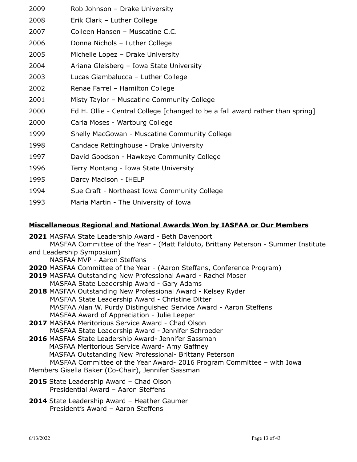- Rob Johnson Drake University
- Erik Clark Luther College
- Colleen Hansen Muscatine C.C.
- Donna Nichols Luther College
- Michelle Lopez Drake University
- Ariana Gleisberg Iowa State University
- Lucas Giambalucca Luther College
- Renae Farrel Hamilton College
- Misty Taylor Muscatine Community College
- Ed H. Ollie Central College [changed to be a fall award rather than spring]
- Carla Moses Wartburg College
- Shelly MacGowan Muscatine Community College
- Candace Rettinghouse Drake University
- David Goodson Hawkeye Community College
- Terry Montang Iowa State University
- Darcy Madison IHELP
- Sue Craft Northeast Iowa Community College
- Maria Martin The University of Iowa

# **Miscellaneous Regional and National Awards Won by IASFAA or Our Members**

- MASFAA State Leadership Award Beth Davenport MASFAA Committee of the Year - (Matt Falduto, Brittany Peterson - Summer Institute and Leadership Symposium) NASFAA MVP - Aaron Steffens MASFAA Committee of the Year - (Aaron Steffans, Conference Program) MASFAA Outstanding New Professional Award - Rachel Moser MASFAA State Leadership Award - Gary Adams MASFAA Outstanding New Professional Award - Kelsey Ryder MASFAA State Leadership Award - Christine Ditter MASFAA Alan W. Purdy Distinguished Service Award - Aaron Steffens MASFAA Award of Appreciation - Julie Leeper MASFAA Meritorious Service Award - Chad Olson MASFAA State Leadership Award - Jennifer Schroeder MASFAA State Leadership Award- Jennifer Sassman MASFAA Meritorious Service Award- Amy Gaffney MASFAA Outstanding New Professional- Brittany Peterson MASFAA Committee of the Year Award- 2016 Program Committee – with Iowa Members Gisella Baker (Co-Chair), Jennifer Sassman State Leadership Award – Chad Olson Presidential Award – Aaron Steffens State Leadership Award – Heather Gaumer
	- President's Award Aaron Steffens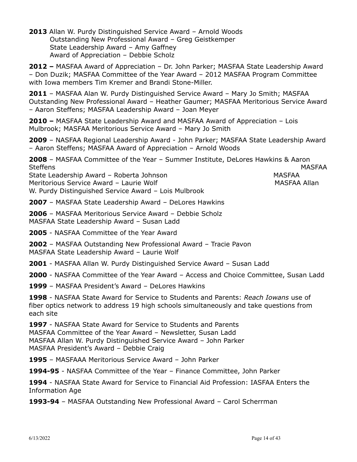**2013** Allan W. Purdy Distinguished Service Award – Arnold Woods Outstanding New Professional Award – Greg Geistkemper State Leadership Award – Amy Gaffney Award of Appreciation – Debbie Scholz

**2012 –** MASFAA Award of Appreciation – Dr. John Parker; MASFAA State Leadership Award – Don Duzik; MASFAA Committee of the Year Award – 2012 MASFAA Program Committee with Iowa members Tim Kremer and Brandi Stone-Miller.

**2011** – MASFAA Alan W. Purdy Distinguished Service Award – Mary Jo Smith; MASFAA Outstanding New Professional Award – Heather Gaumer; MASFAA Meritorious Service Award – Aaron Steffens; MASFAA Leadership Award – Joan Meyer

**2010 –** MASFAA State Leadership Award and MASFAA Award of Appreciation – Lois Mulbrook; MASFAA Meritorious Service Award – Mary Jo Smith

**2009** – NASFAA Regional Leadership Award - John Parker; MASFAA State Leadership Award – Aaron Steffens; MASFAA Award of Appreciation – Arnold Woods

**2008** – MASFAA Committee of the Year – Summer Institute, DeLores Hawkins & Aaron Steffens MASFAA State Leadership Award – Roberta Johnson MASFAA Meritorious Service Award – Laurie Wolf Manuel Manuel MASFAA Allan

W. Purdy Distinguished Service Award – Lois Mulbrook

**2007** – MASFAA State Leadership Award – DeLores Hawkins

**2006** – MASFAA Meritorious Service Award – Debbie Scholz MASFAA State Leadership Award – Susan Ladd

**2005** - NASFAA Committee of the Year Award

**2002** – MASFAA Outstanding New Professional Award – Tracie Pavon MASFAA State Leadership Award – Laurie Wolf

**2001** - MASFAA Allan W. Purdy Distinguished Service Award – Susan Ladd

**2000** - NASFAA Committee of the Year Award – Access and Choice Committee, Susan Ladd

**1999** – MASFAA President's Award – DeLores Hawkins

**1998** - NASFAA State Award for Service to Students and Parents: *Reach Iowans* use of fiber optics network to address 19 high schools simultaneously and take questions from each site

**1997** - NASFAA State Award for Service to Students and Parents MASFAA Committee of the Year Award – Newsletter, Susan Ladd MASFAA Allan W. Purdy Distinguished Service Award – John Parker MASFAA President's Award – Debbie Craig

**1995** – MASFAAA Meritorious Service Award – John Parker

**1994-95** - NASFAA Committee of the Year – Finance Committee, John Parker

**1994** - NASFAA State Award for Service to Financial Aid Profession: IASFAA Enters the Information Age

**1993-94** – MASFAA Outstanding New Professional Award – Carol Scherrman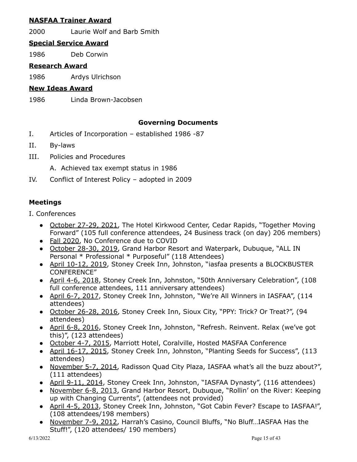# **NASFAA Trainer Award**

2000 Laurie Wolf and Barb Smith

# **Special Service Award**

1986 Deb Corwin

# **Research Award**

1986 Ardys Ulrichson

# **New Ideas Award**

1986 Linda Brown-Jacobsen

# **Governing Documents**

- I. Articles of Incorporation established 1986 -87
- II. By-laws
- III. Policies and Procedures
	- A. Achieved tax exempt status in 1986
- IV. Conflict of Interest Policy adopted in 2009

# **Meetings**

- I. Conferences
	- October 27-29, 2021, The Hotel Kirkwood Center, Cedar Rapids, "Together Moving Forward" (105 full conference attendees, 24 Business track (on day) 206 members)
	- Fall 2020, No Conference due to COVID
	- October 28-30, 2019, Grand Harbor Resort and Waterpark, Dubuque, "ALL IN Personal \* Professional \* Purposeful" (118 Attendees)
	- April 10-12, 2019, Stoney Creek Inn, Johnston, "iasfaa presents a BLOCKBUSTER CONFERENCE"
	- April 4-6, 2018, Stoney Creek Inn, Johnston, "50th Anniversary Celebration", (108 full conference attendees, 111 anniversary attendees)
	- April 6-7, 2017, Stoney Creek Inn, Johnston, "We're All Winners in IASFAA", (114 attendees)
	- October 26-28, 2016, Stoney Creek Inn, Sioux City, "PPY: Trick? Or Treat?", (94 attendees)
	- April 6-8, 2016, Stoney Creek Inn, Johnston, "Refresh. Reinvent. Relax (we've got this)", (123 attendees)
	- October 4-7, 2015, Marriott Hotel, Coralville, Hosted MASFAA Conference
	- April 16-17, 2015, Stoney Creek Inn, Johnston, "Planting Seeds for Success", (113 attendees)
	- November 5-7, 2014, Radisson Quad City Plaza, IASFAA what's all the buzz about?", (111 attendees)
	- April 9-11, 2014, Stoney Creek Inn, Johnston, "IASFAA Dynasty", (116 attendees)
	- November 6-8, 2013, Grand Harbor Resort, Dubuque, "Rollin' on the River: Keeping up with Changing Currents", (attendees not provided)
	- April 4-5, 2013, Stoney Creek Inn, Johnston, "Got Cabin Fever? Escape to IASFAA!", (108 attendees/198 members)
	- November 7-9, 2012, Harrah's Casino, Council Bluffs, "No Bluff…IASFAA Has the Stuff!", (120 attendees/ 190 members)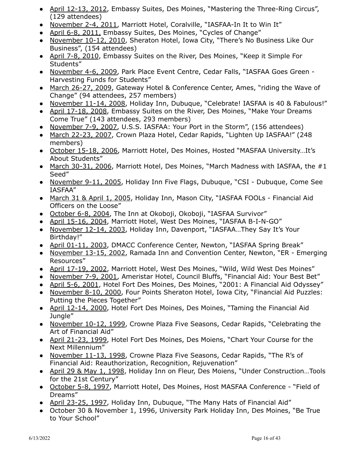- April 12-13, 2012, Embassy Suites, Des Moines, "Mastering the Three-Ring Circus", (129 attendees)
- November 2-4, 2011, Marriott Hotel, Coralville, "IASFAA-In It to Win It"
- April 6-8, 2011, Embassy Suites, Des Moines, "Cycles of Change"
- November 10-12, 2010, Sheraton Hotel, Iowa City, "There's No Business Like Our Business", (154 attendees)
- April 7-8, 2010, Embassy Suites on the River, Des Moines, "Keep it Simple For Students"
- November 4-6, 2009, Park Place Event Centre, Cedar Falls, "IASFAA Goes Green Harvesting Funds for Students"
- March 26-27, 2009, Gateway Hotel & Conference Center, Ames, "riding the Wave of Change" (94 attendees, 257 members)
- November 11-14, 2008, Holiday Inn, Dubuque, "Celebrate! IASFAA is 40 & Fabulous!"
- April 17-18, 2008, Embassy Suites on the River, Des Moines, "Make Your Dreams Come True" (143 attendees, 293 members)
- November 7-9, 2007, U.S.S. IASFAA: Your Port in the Storm", (156 attendees)
- March 22-23, 2007, Crown Plaza Hotel, Cedar Rapids, "Lighten Up IASFAA!" (248 members)
- October 15-18, 2006, Marriott Hotel, Des Moines, Hosted "MASFAA University…It's About Students"
- March 30-31, 2006, Marriott Hotel, Des Moines, "March Madness with IASFAA, the #1 Seed"
- November 9-11, 2005, Holiday Inn Five Flags, Dubuque, "CSI Dubuque, Come See IASFAA"
- March 31 & April 1, 2005, Holiday Inn, Mason City, "IASFAA FOOLs Financial Aid Officers on the Loose"
- October 6-8, 2004, The Inn at Okoboji, Okoboji, "IASFAA Survivor"
- April 15-16, 2004, Marriott Hotel, West Des Moines, "IASFAA B-I-N-GO"
- November 12-14, 2003, Holiday Inn, Davenport, "IASFAA…They Say It's Your Birthday!"
- April 01-11, 2003, DMACC Conference Center, Newton, "IASFAA Spring Break"
- November 13-15, 2002, Ramada Inn and Convention Center, Newton, "ER Emerging Resources"
- April 17-19, 2002, Marriott Hotel, West Des Moines, "Wild, Wild West Des Moines"
- November 7-9, 2001, Ameristar Hotel, Council Bluffs, "Financial Aid: Your Best Bet"
- April 5-6, 2001, Hotel Fort Des Moines, Des Moines, "2001: A Financial Aid Odyssey"
- November 8-10, 2000, Four Points Sheraton Hotel, Iowa City, "Financial Aid Puzzles: Putting the Pieces Together"
- April 12-14, 2000, Hotel Fort Des Moines, Des Moines, "Taming the Financial Aid Jungle"
- November 10-12, 1999, Crowne Plaza Five Seasons, Cedar Rapids, "Celebrating the Art of Financial Aid"
- April 21-23, 1999, Hotel Fort Des Moines, Des Moiens, "Chart Your Course for the Next Millennium"
- November 11-13, 1998, Crowne Plaza Five Seasons, Cedar Rapids, "The R's of Financial Aid: Reauthorization, Recognition, Rejuvenation"
- April 29 & May 1, 1998, Holiday Inn on Fleur, Des Moiens, "Under Construction...Tools for the 21st Century"
- October 5-8, 1997, Marriott Hotel, Des Moines, Host MASFAA Conference "Field of Dreams"
- April 23-25, 1997, Holiday Inn, Dubuque, "The Many Hats of Financial Aid"
- October 30 & November 1, 1996, University Park Holiday Inn, Des Moines, "Be True to Your School"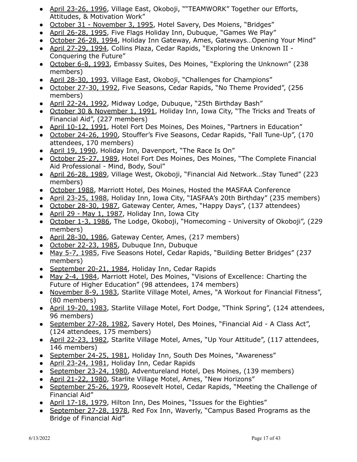- April 23-26, 1996, Village East, Okoboji, ""TEAMWORK" Together our Efforts, Attitudes, & Motivation Work"
- October 31 November 3, 1995, Hotel Savery, Des Moiens, "Bridges"
- April 26-28, 1995, Five Flags Holiday Inn, Dubuque, "Games We Play"
- October 26-28, 1994, Holiday Inn Gateway, Ames, Gateways... Opening Your Mind"
- April 27-29, 1994, Collins Plaza, Cedar Rapids, "Exploring the Unknown II -Conquering the Future"
- October 6-8, 1993, Embassy Suites, Des Moines, "Exploring the Unknown" (238 members)
- April 28-30, 1993, Village East, Okoboji, "Challenges for Champions"
- October 27-30, 1992, Five Seasons, Cedar Rapids, "No Theme Provided", (256 members)
- April 22-24, 1992, Midway Lodge, Dubuque, "25th Birthday Bash"
- October 30 & November 1, 1991, Holiday Inn, Iowa City, "The Tricks and Treats of Financial Aid", (227 members)
- April 10-12, 1991, Hotel Fort Des Moines, Des Moines, "Partners in Education"
- October 24-26, 1990, Stouffer's Five Seasons, Cedar Rapids, "Fall Tune-Up", (170 attendees, 170 members)
- April 19, 1990, Holiday Inn, Davenport, "The Race Is On"
- October 25-27, 1989, Hotel Fort Des Moines, Des Moines, "The Complete Financial Aid Professional - Mind, Body, Soul"
- April 26-28, 1989, Village West, Okoboji, "Financial Aid Network...Stay Tuned" (223 members)
- October 1988, Marriott Hotel, Des Moines, Hosted the MASFAA Conference
- April 23-25, 1988, Holiday Inn, Iowa City, "IASFAA's 20th Birthday" (235 members)
- October 28-30, 1987, Gateway Center, Ames, "Happy Days", (137 attendees)
- April 29 May 1, 1987, Holiday Inn, Iowa City
- October 1-3, 1986, The Lodge, Okoboji, "Homecoming University of Okoboji", (229 members)
- April 28-30, 1986, Gateway Center, Ames, (217 members)
- October 22-23, 1985, Dubuque Inn, Dubuque
- May 5-7, 1985, Five Seasons Hotel, Cedar Rapids, "Building Better Bridges" (237 members)
- September 20-21, 1984, Holiday Inn, Cedar Rapids
- May 2-4, 1984, Marriott Hotel, Des Moines, "Visions of Excellence: Charting the Future of Higher Education" (98 attendees, 174 members)
- November 8-9, 1983, Starlite Village Motel, Ames, "A Workout for Financial Fitness", (80 members)
- April 19-20, 1983, Starlite Village Motel, Fort Dodge, "Think Spring", (124 attendees, 96 members)
- September 27-28, 1982, Savery Hotel, Des Moines, "Financial Aid A Class Act", (124 attendees, 175 members)
- April 22-23, 1982, Starlite Village Motel, Ames, "Up Your Attitude", (117 attendees, 146 members)
- September 24-25, 1981, Holiday Inn, South Des Moines, "Awareness"
- April 23-24, 1981, Holiday Inn, Cedar Rapids
- September 23-24, 1980, Adventureland Hotel, Des Moines, (139 members)
- April 21-22, 1980, Starlite Village Motel, Ames, "New Horizons"
- September 25-26, 1979, Roosevelt Hotel, Cedar Rapids, "Meeting the Challenge of Financial Aid"
- April 17-18, 1979, Hilton Inn, Des Moines, "Issues for the Eighties"
- September 27-28, 1978, Red Fox Inn, Waverly, "Campus Based Programs as the Bridge of Financial Aid"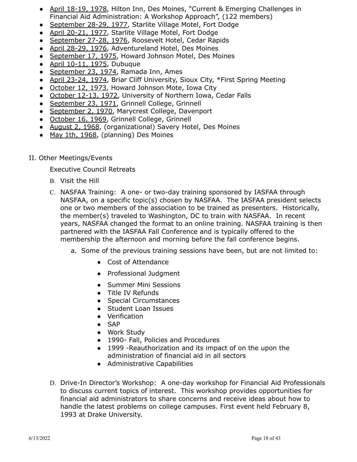- April 18-19, 1978, Hilton Inn, Des Moines, "Current & Emerging Challenges in Financial Aid Administration: A Workshop Approach", (122 members)
- September 28-29, 1977, Starlite Village Motel, Fort Dodge
- April 20-21, 1977, Starlite Village Motel, Fort Dodge
- September 27-28, 1976, Roosevelt Hotel, Cedar Rapids
- April 28-29, 1976, Adventureland Hotel, Des Moines
- September 17, 1975, Howard Johnson Motel, Des Moines
- April 10-11, 1975, Dubuque
- September 23, 1974, Ramada Inn, Ames
- April 23-24, 1974, Briar Cliff University, Sioux City, \*First Spring Meeting
- October 12, 1973, Howard Johnson Mote, Iowa City
- October 12-13, 1972, University of Northern Iowa, Cedar Falls
- September 23, 1971, Grinnell College, Grinnell
- September 2, 1970, Marycrest College, Davenport
- October 16, 1969, Grinnell College, Grinnell
- August 2, 1968, (organizational) Savery Hotel, Des Moines
- May 1th, 1968, (planning) Des Moines
- II. Other Meetings/Events

Executive Council Retreats

- B. Visit the Hill
- C. NASFAA Training: A one- or two-day training sponsored by IASFAA through NASFAA, on a specific topic(s) chosen by NASFAA. The IASFAA president selects one or two members of the association to be trained as presenters. Historically, the member(s) traveled to Washington, DC to train with NASFAA. In recent years, NASFAA changed the format to an online training. NASFAA training is then partnered with the IASFAA Fall Conference and is typically offered to the membership the afternoon and morning before the fall conference begins.
	- a. Some of the previous training sessions have been, but are not limited to:
		- Cost of Attendance
		- Professional Judgment
		- Summer Mini Sessions
		- Title IV Refunds
		- Special Circumstances
		- Student Loan Issues
		- Verification
		- SAP
		- Work Study
		- 1990- Fall, Policies and Procedures
		- 1999 -Reauthorization and its impact of on the upon the administration of financial aid in all sectors
		- Administrative Capabilities
- D. Drive-In Director's Workshop: A one-day workshop for Financial Aid Professionals to discuss current topics of interest. This workshop provides opportunities for financial aid administrators to share concerns and receive ideas about how to handle the latest problems on college campuses. First event held February 8, 1993 at Drake University.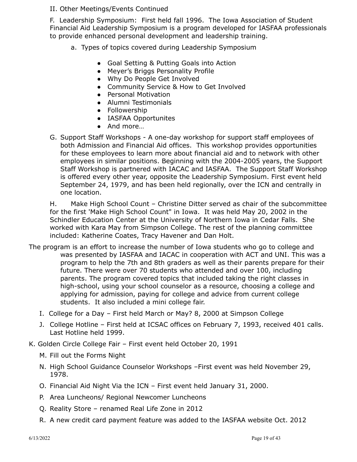# II. Other Meetings/Events Continued

F. Leadership Symposium: First held fall 1996. The Iowa Association of Student Financial Aid Leadership Symposium is a program developed for IASFAA professionals to provide enhanced personal development and leadership training.

- a. Types of topics covered during Leadership Symposium
	- Goal Setting & Putting Goals into Action
	- Meyer's Briggs Personality Profile
	- Why Do People Get Involved
	- Community Service & How to Get Involved
	- Personal Motivation
	- Alumni Testimonials
	- Followership
	- IASFAA Opportunites
	- And more…
- G. Support Staff Workshops A one-day workshop for support staff employees of both Admission and Financial Aid offices. This workshop provides opportunities for these employees to learn more about financial aid and to network with other employees in similar positions. Beginning with the 2004-2005 years, the Support Staff Workshop is partnered with IACAC and IASFAA. The Support Staff Workshop is offered every other year, opposite the Leadership Symposium. First event held September 24, 1979, and has been held regionally, over the ICN and centrally in one location.

H. Make High School Count – Christine Ditter served as chair of the subcommittee for the first 'Make High School Count" in Iowa. It was held May 20, 2002 in the Schindler Education Center at the University of Northern Iowa in Cedar Falls. She worked with Kara May from Simpson College. The rest of the planning committee included: Katherine Coates, Tracy Havener and Dan Holt.

- The program is an effort to increase the number of Iowa students who go to college and was presented by IASFAA and IACAC in cooperation with ACT and UNI. This was a program to help the 7th and 8th graders as well as their parents prepare for their future. There were over 70 students who attended and over 100, including parents. The program covered topics that included taking the right classes in high-school, using your school counselor as a resource, choosing a college and applying for admission, paying for college and advice from current college students. It also included a mini college fair.
	- I. College for a Day First held March or May? 8, 2000 at Simpson College
	- J. College Hotline First held at ICSAC offices on February 7, 1993, received 401 calls. Last Hotline held 1999.
- K. Golden Circle College Fair First event held October 20, 1991
	- M. Fill out the Forms Night
	- N. High School Guidance Counselor Workshops –First event was held November 29, 1978.
	- O. Financial Aid Night Via the ICN First event held January 31, 2000.
	- P. Area Luncheons/ Regional Newcomer Luncheons
	- Q. Reality Store renamed Real Life Zone in 2012
	- R. A new credit card payment feature was added to the IASFAA website Oct. 2012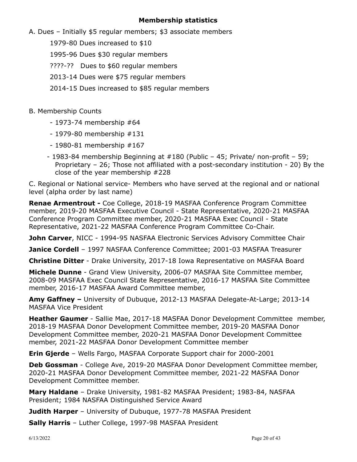# **Membership statistics**

- A. Dues Initially \$5 regular members; \$3 associate members
	- 1979-80 Dues increased to \$10
	- 1995-96 Dues \$30 regular members
	- ????-?? Dues to \$60 regular members
	- 2013-14 Dues were \$75 regular members
	- 2014-15 Dues increased to \$85 regular members
- B. Membership Counts
	- 1973-74 membership #64
	- 1979-80 membership #131
	- 1980-81 membership #167
	- 1983-84 membership Beginning at #180 (Public 45; Private/ non-profit 59; Proprietary – 26; Those not affiliated with a post-secondary institution - 20) By the close of the year membership #228

C. Regional or National service- Members who have served at the regional and or national level (alpha order by last name)

**Renae Armentrout -** Coe College, 2018-19 MASFAA Conference Program Committee member, 2019-20 MASFAA Executive Council - State Representative, 2020-21 MASFAA Conference Program Committee member, 2020-21 MASFAA Exec Council - State Representative, 2021-22 MASFAA Conference Program Committee Co-Chair.

**John Carver**, NICC - 1994-95 NASFAA Electronic Services Advisory Committee Chair

**Janice Cordell** – 1997 NASFAA Conference Committee; 2001-03 MASFAA Treasurer

**Christine Ditter** - Drake University, 2017-18 Iowa Representative on MASFAA Board

**Michele Dunne** - Grand View University, 2006-07 MASFAA Site Committee member, 2008-09 MASFAA Exec Council State Representative, 2016-17 MASFAA Site Committee member, 2016-17 MASFAA Award Committee member,

**Amy Gaffney –** University of Dubuque, 2012-13 MASFAA Delegate-At-Large; 2013-14 MASFAA Vice President

**Heather Gaumer** - Sallie Mae, 2017-18 MASFAA Donor Development Committee member, 2018-19 MASFAA Donor Development Committee member, 2019-20 MASFAA Donor Development Committee member, 2020-21 MASFAA Donor Development Committee member, 2021-22 MASFAA Donor Development Committee member

**Erin Gjerde** – Wells Fargo, MASFAA Corporate Support chair for 2000-2001

**Deb Gossman** - College Ave, 2019-20 MASFAA Donor Development Committee member, 2020-21 MASFAA Donor Development Committee member, 2021-22 MASFAA Donor Development Committee member.

**Mary Haldane** – Drake University, 1981-82 MASFAA President; 1983-84, NASFAA President; 1984 NASFAA Distinguished Service Award

**Judith Harper** – University of Dubuque, 1977-78 MASFAA President

**Sally Harris** – Luther College, 1997-98 MASFAA President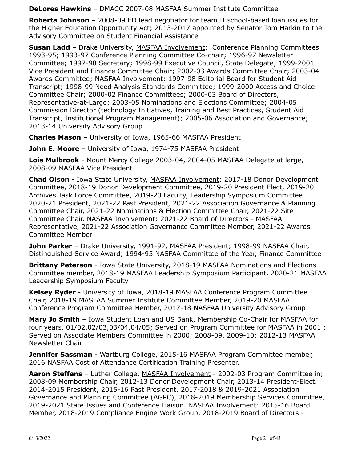**DeLores Hawkins** – DMACC 2007-08 MASFAA Summer Institute Committee

**Roberta Johnson** – 2008-09 ED lead negotiator for team II school-based loan issues for the Higher Education Opportunity Act; 2013-2017 appointed by Senator Tom Harkin to the Advisory Committee on Student Financial Assistance

**Susan Ladd** – Drake University, MASFAA Involvement: Conference Planning Committees 1993-95; 1993-97 Conference Planning Committee Co-chair; 1996-97 Newsletter Committee; 1997-98 Secretary; 1998-99 Executive Council, State Delegate; 1999-2001 Vice President and Finance Committee Chair; 2002-03 Awards Committee Chair; 2003-04 Awards Committee; NASFAA Involvement: 1997-98 Editorial Board for Student Aid Transcript; 1998-99 Need Analysis Standards Committee; 1999-2000 Access and Choice Committee Chair; 2000-02 Finance Committees; 2000-03 Board of Directors, Representative-at-Large; 2003-05 Nominations and Elections Committee; 2004-05 Commission Director (technology Initiatives, Training and Best Practices, Student Aid Transcript, Institutional Program Management); 2005-06 Association and Governance; 2013-14 University Advisory Group

**Charles Mason** – University of Iowa, 1965-66 MASFAA President

**John E. Moore** – University of Iowa, 1974-75 MASFAA President

**Lois Mulbrook** - Mount Mercy College 2003-04, 2004-05 MASFAA Delegate at large, 2008-09 MASFAA Vice President

**Chad Olson -** Iowa State University, MASFAA Involvement: 2017-18 Donor Development Committee, 2018-19 Donor Development Committee, 2019-20 President Elect, 2019-20 Archives Task Force Committee, 2019-20 Faculty, Leadership Symposium Committee 2020-21 President, 2021-22 Past President, 2021-22 Association Governance & Planning Committee Chair, 2021-22 Nominations & Election Committee Chair, 2021-22 Site Committee Chair. NASFAA Involvement: 2021-22 Board of Directors - MASFAA Representative, 2021-22 Association Governance Committee Member, 2021-22 Awards Committee Member

**John Parker** – Drake University, 1991-92, MASFAA President; 1998-99 NASFAA Chair, Distinguished Service Award; 1994-95 NASFAA Committee of the Year, Finance Committee

**Brittany Peterson** - Iowa State University, 2018-19 MASFAA Nominations and Elections Committee member, 2018-19 MASFAA Leadership Symposium Participant, 2020-21 MASFAA Leadership Symposium Faculty

**Kelsey Ryder** - University of Iowa, 2018-19 MASFAA Conference Program Committee Chair, 2018-19 MASFAA Summer Institute Committee Member, 2019-20 MASFAA Conference Program Committee Member, 2017-18 NASFAA University Advisory Group

**Mary Jo Smith** – Iowa Student Loan and US Bank, Membership Co-Chair for MASFAA for four years, 01/02,02/03,03/04,04/05; Served on Program Committee for MASFAA in 2001 ; Served on Associate Members Committee in 2000; 2008-09, 2009-10; 2012-13 MASFAA Newsletter Chair

**Jennifer Sassman** - Wartburg College, 2015-16 MASFAA Program Committee member, 2016 NASFAA Cost of Attendance Certification Training Presenter.

**Aaron Steffens** – Luther College, MASFAA Involvement - 2002-03 Program Committee in; 2008-09 Membership Chair, 2012-13 Donor Development Chair, 2013-14 President-Elect. 2014-2015 President, 2015-16 Past President, 2017-2018 & 2019-2021 Association Governance and Planning Committee (AGPC), 2018-2019 Membership Services Committee, 2019-2021 State Issues and Conference Liaison. NASFAA Involvement: 2015-16 Board Member, 2018-2019 Compliance Engine Work Group, 2018-2019 Board of Directors -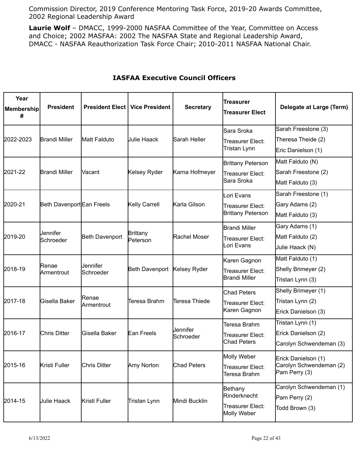Commission Director, 2019 Conference Mentoring Task Force, 2019-20 Awards Committee, 2002 Regional Leadership Award

**Laurie Wolf** – DMACC, 1999-2000 NASFAA Committee of the Year, Committee on Access and Choice; 2002 MASFAA: 2002 The NASFAA State and Regional Leadership Award, DMACC - NASFAA Reauthorization Task Force Chair; 2010-2011 NASFAA National Chair.

| Year<br>Membership<br># | <b>President</b>          | <b>President Elect</b>      | <b>Vice President</b>       | <b>Secretary</b>   | <b>Treasurer</b><br><b>Treasurer Elect</b> | Delegate at Large (Term)                 |
|-------------------------|---------------------------|-----------------------------|-----------------------------|--------------------|--------------------------------------------|------------------------------------------|
|                         |                           |                             |                             |                    | lSara Sroka                                | Sarah Freestone (3)                      |
| 2022-2023               | <b>Brandi Miller</b>      | Matt Falduto                | Julie Haack                 | Sarah Heller       | Treasurer Elect:                           | Theresa Theide (2)                       |
|                         |                           |                             |                             |                    | Tristan Lynn                               | Eric Danielson (1)                       |
|                         |                           |                             |                             |                    | Brittany Peterson                          | Matt Falduto (N)                         |
| 2021-22                 | <b>Brandi Miller</b>      | Vacant                      | Kelsey Ryder                | Karna Hofmeyer     | Treasurer Elect:                           | Sarah Freestone (2)                      |
|                         |                           |                             |                             |                    | <b>Sara Sroka</b>                          | Matt Falduto (3)                         |
|                         |                           |                             |                             |                    | Lori Evans                                 | Sarah Freestone (1)                      |
| 2020-21                 | Beth Davenport Ean Freels |                             | Kelly Carrell               | Karla Gilson       | Treasurer Elect:                           | Gary Adams (2)                           |
|                         |                           |                             |                             |                    | <b>Brittany Peterson</b>                   | Matt Falduto (3)                         |
|                         |                           |                             | <b>Brittany</b><br>Peterson |                    | <b>Brandi Miller</b>                       | Gary Adams (1)                           |
| 2019-20                 | Jennifer<br>Schroeder     | <b>Beth Davenport</b>       |                             | Rachel Moser       | Treasurer Elect:<br>Lori Evans             | Matt Falduto (2)                         |
|                         |                           |                             |                             |                    |                                            | Julie Haack (N)                          |
|                         |                           | Jennifer<br>Schroeder       | <b>Beth Davenport</b>       | Kelsey Ryder       | Karen Gagnon                               | Matt Falduto (1)                         |
| 2018-19                 | Renae<br>Armentrout       |                             |                             |                    | Treasurer Elect:                           | Shelly Brimeyer (2)                      |
|                         |                           |                             |                             |                    | Brandi Miller                              | Tristan Lynn (3)                         |
|                         |                           | lRenae<br><b>Armentrout</b> | Teresa Brahm                | Teresa Thiede      | Chad Peters                                | Shelly Brimeyer (1)                      |
| 2017-18                 | Gisella Baker             |                             |                             |                    | Treasurer Elect:                           | Tristan Lynn (2)                         |
|                         |                           |                             |                             |                    | Karen Gagnon                               | Erick Danielson (3)                      |
|                         |                           |                             |                             | Jennifer           | Teresa Brahm                               | Tristan Lynn (1)                         |
| 2016-17                 | <b>Chris Ditter</b>       | Gisella Baker               | Ean Freels                  | Schroeder          | Treasurer Elect:                           | Erick Danielson (2)                      |
|                         |                           |                             |                             |                    | <b>Chad Peters</b>                         | Carolyn Schwendeman (3)                  |
|                         |                           |                             |                             |                    | Molly Weber                                | Erick Danielson (1)                      |
| 2015-16                 | Kristi Fuller             | Chris Ditter                | Amy Norton                  | <b>Chad Peters</b> | <b>Treasurer Elect:</b><br>Teresa Brahm    | Carolyn Schwendeman (2)<br>Pam Perry (3) |
|                         |                           | Kristi Fuller               | Tristan Lynn                |                    | Bethany                                    | Carolyn Schwendeman (1)                  |
| 2014-15                 | <b>Julie Haack</b>        |                             |                             | Mindi Bucklin      | Rinderknecht                               | Pam Perry (2)                            |
|                         |                           |                             |                             |                    | Treasurer Elect:<br>Molly Weber            | Todd Brown (3)                           |

# **IASFAA Executive Council Officers**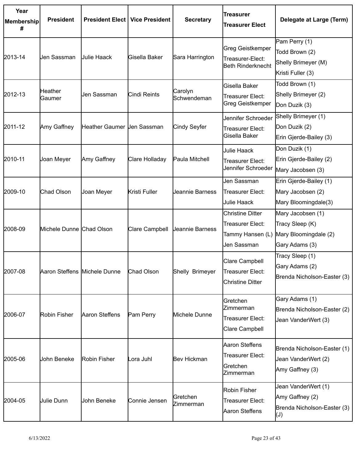| Year<br>Membership<br># | <b>President</b>             | <b>President Elect</b>     | <b>Vice President</b> | <b>Secretary</b>       | lTreasurer<br><b>Treasurer Elect</b>                                      | Delegate at Large (Term)                                                                |
|-------------------------|------------------------------|----------------------------|-----------------------|------------------------|---------------------------------------------------------------------------|-----------------------------------------------------------------------------------------|
| 2013-14                 | Jen Sassman                  | Julie Haack                | Gisella Baker         | Sara Harrington        | Greg Geistkemper<br>Treasurer-Elect:<br>Beth Rinderknecht                 | Pam Perry (1)<br>Todd Brown (2)<br>Shelly Brimeyer (M)<br>Kristi Fuller (3)             |
| 2012-13                 | <b>Heather</b><br>Gaumer     | Jen Sassman                | Cindi Reints          | Carolyn<br>Schwendeman | Gisella Baker<br>Treasurer Elect:<br>Greg Geistkemper                     | Todd Brown (1)<br>Shelly Brimeyer (2)<br>Don Duzik (3)                                  |
| 2011-12                 | Amy Gaffney                  | Heather Gaumer Uen Sassman |                       | Cindy Seyfer           | Jennifer Schroeder<br>Treasurer Elect:<br>Gisella Baker                   | Shelly Brimeyer (1)<br>Don Duzik (2)<br>Erin Gjerde-Bailey (3)                          |
| 2010-11                 | Joan Meyer                   | Amy Gaffney                | Clare Holladay        | Paula Mitchell         | Julie Haack<br>Treasurer Elect:<br>Jennifer Schroeder                     | Don Duzik (1)<br>Erin Gjerde-Bailey (2)<br>Mary Jacobsen (3)                            |
| 2009-10                 | Chad Olson                   | Joan Meyer                 | Kristi Fuller         | Jeannie Barness        | Jen Sassman<br>Treasurer Elect:<br>Julie Haack                            | Erin Gjerde-Bailey (1)<br>Mary Jacobsen (2)<br>Mary Bloomingdale(3)                     |
| 2008-09                 | Michele Dunne Chad Olson     |                            | Clare Campbell        | Jeannie Barness        | Christine Ditter<br>Treasurer Elect:<br>Tammy Hansen (L)<br>Jen Sassman   | Mary Jacobsen (1)<br>Tracy Sleep (K)<br>Mary Bloomingdale (2)<br>Gary Adams (3)         |
| 2007-08                 | Aaron Steffens Michele Dunne |                            | Chad Olson            | Shelly Brimeyer        | Clare Campbell<br>Treasurer Elect:<br><b>Christine Ditter</b>             | Tracy Sleep (1)<br>Gary Adams (2)<br>Brenda Nicholson-Easter (3)                        |
| 2006-07                 | Robin Fisher                 | Aaron Steffens             | Pam Perry             | Michele Dunne          | <b>Gretchen</b><br><b>Zimmerman</b><br>Treasurer Elect:<br>Clare Campbell | Gary Adams (1)<br>Brenda Nicholson-Easter (2)<br>Jean VanderWert (3)                    |
| 2005-06                 | John Beneke                  | Robin Fisher               | Lora Juhl             | Bev Hickman            | Aaron Steffens<br>Treasurer Elect:<br>Gretchen<br>Zimmerman               | Brenda Nicholson-Easter (1)<br>Jean VanderWert (2)<br>Amy Gaffney (3)                   |
| 2004-05                 | Julie Dunn                   | John Beneke                | Connie Jensen         | Gretchen<br>Zimmerman  | Robin Fisher<br>Treasurer Elect:<br>Aaron Steffens                        | Jean VanderWert (1)<br>Amy Gaffney (2)<br>Brenda Nicholson-Easter (3)<br>$(\mathsf{U})$ |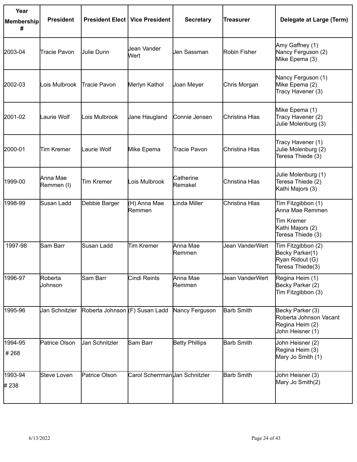| Year<br>Membership<br># | <b>President</b>       | <b>President Elect   Vice President</b> |                               | <b>Secretary</b>      | Treasurer         | Delegate at Large (Term)                                                                     |
|-------------------------|------------------------|-----------------------------------------|-------------------------------|-----------------------|-------------------|----------------------------------------------------------------------------------------------|
| 2003-04                 | <b>Tracie Pavon</b>    | Julie Dunn                              | Jean Vander<br>Wert           | Jen Sassman           | Robin Fisher      | Amy Gaffney (1)<br>Nancy Ferguson (2)<br>Mike Epema (3)                                      |
| 2002-03                 | Lois Mulbrook          | Tracie Pavon                            | Merlyn Kathol                 | Joan Meyer            | Chris Morgan      | Nancy Ferguson (1)<br>Mike Epema (2)<br>Tracy Havener (3)                                    |
| 2001-02                 | Laurie Wolf            | Lois Mulbrook                           | Jane Haugland                 | Connie Jensen         | Christina Hlas    | Mike Epema (1)<br>Tracy Havener (2)<br>Julie Molenburg (3)                                   |
| 2000-01                 | <b>Tim Kremer</b>      | Laurie Wolf                             | Mike Epema                    | <b>Tracie Pavon</b>   | Christina Hlas    | Tracy Havener (1)<br>Julie Molenburg (2)<br>Teresa Thiede (3)                                |
| 1999-00                 | Anna Mae<br>Remmen (I) | <b>Tim Kremer</b>                       | Lois Mulbrook                 | Catherine<br>Remakel  | Christina Hlas    | Julie Molenburg (1)<br>Teresa Thiede (2)<br>Kathi Majors (3)                                 |
| 1998-99                 | Susan Ladd             | Debbie Barger                           | (H) Anna Mae<br>Remmen        | Linda Miller          | Christina Hlas    | Tim Fitzgibbon (1)<br>Anna Mae Remmen<br>Tim Kremer<br>Kathi Majors (2)<br>Teresa Thiede (3) |
| 1997-98                 | Sam Barr               | Susan Ladd                              | <b>Tim Kremer</b>             | Anna Mae<br>Remmen    | Jean VanderWert   | Tim Fitzgibbon (2)<br>Becky Parker(1)<br>Ryan Ridout (G)<br>Teresa Thiede(3)                 |
| 1996-97                 | Roberta<br>Johnson     | Sam Barr                                | Cindi Reints                  | Anna Mae<br>Remmen    | Jean VanderWert   | Regina Heim (1)<br>Becky Parker (2)<br>Tim Fitzgibbon (3)                                    |
| 1995-96                 | Jan Schnitzler         | Roberta Johnson (F) Susan Ladd          |                               | Nancy Ferguson        | <b>Barb Smith</b> | Becky Parker (3)<br>Roberta Johnson Vacant<br>Regina Heim (2)<br>John Heisner (1)            |
| 1994-95<br>#268         | Patrice Olson          | Jan Schnitzler                          | Sam Barr                      | <b>Betty Phillips</b> | <b>Barb Smith</b> | John Heisner (2)<br>Regina Heim (3)<br>Mary Jo Smith (1)                                     |
| 1993-94<br># 238        | Steve Loven            | Patrice Olson                           | Carol ScherrmanUan Schnitzler |                       | <b>Barb Smith</b> | John Heisner (3)<br>Mary Jo Smith(2)                                                         |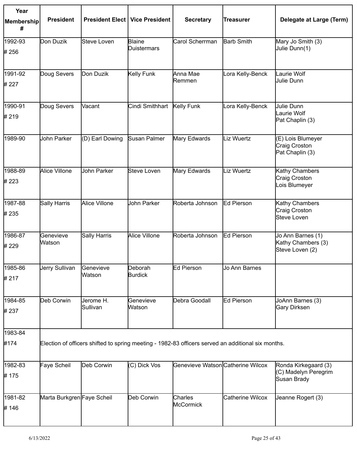| Year            |                            |                                         |                    |                                   |                                                                                                    |                                                       |
|-----------------|----------------------------|-----------------------------------------|--------------------|-----------------------------------|----------------------------------------------------------------------------------------------------|-------------------------------------------------------|
| Membership<br># | <b>President</b>           | <b>President Elect   Vice President</b> |                    | <b>Secretary</b>                  | <b>Treasurer</b>                                                                                   | Delegate at Large (Term)                              |
| 1992-93         | Don Duzik                  | <b>Steve Loven</b>                      | <b>Blaine</b>      | Carol Scherrman                   | <b>Barb Smith</b>                                                                                  | Mary Jo Smith (3)                                     |
| #256            |                            |                                         | <b>Duistermars</b> |                                   |                                                                                                    | Julie Dunn(1)                                         |
| 1991-92         | Doug Severs                | Don Duzik                               | Kelly Funk         | Anna Mae                          | Lora Kelly-Benck                                                                                   | Laurie Wolf                                           |
| # 227           |                            |                                         |                    | Remmen                            |                                                                                                    | Julie Dunn                                            |
| 1990-91         | Doug Severs                | Vacant                                  | Cindi Smithhart    | Kelly Funk                        | Lora Kelly-Benck                                                                                   | Julie Dunn                                            |
| # 219           |                            |                                         |                    |                                   |                                                                                                    | Laurie Wolf<br>Pat Chaplin (3)                        |
| 1989-90         | John Parker                | (D) Earl Dowing                         | Susan Palmer       | Mary Edwards                      | Liz Wuertz                                                                                         | (E) Lois Blumeyer<br>Craig Croston<br>Pat Chaplin (3) |
| 1988-89         | Alice Villone              | John Parker                             | Steve Loven        | Mary Edwards                      | Liz Wuertz                                                                                         | Kathy Chambers                                        |
| # 223           |                            |                                         |                    |                                   |                                                                                                    | Craig Croston<br>Lois Blumeyer                        |
| 1987-88         | Sally Harris               | Alice Villone                           | John Parker        | Roberta Johnson                   | Ed Pierson                                                                                         | Kathy Chambers                                        |
| # 235           |                            |                                         |                    |                                   |                                                                                                    | Craig Croston<br>Steve Loven                          |
| 1986-87         | Genevieve                  | <b>Sally Harris</b>                     | Alice Villone      | Roberta Johnson                   | Ed Pierson                                                                                         | Jo Ann Barnes (1)                                     |
| # 229           | Watson                     |                                         |                    |                                   |                                                                                                    | Kathy Chambers (3)<br>Steve Loven (2)                 |
| 1985-86         | Jerry Sullivan             | Genevieve                               | Deborah            | Ed Pierson                        | Jo Ann Barnes                                                                                      |                                                       |
| #217            |                            | Watson                                  | <b>Burdick</b>     |                                   |                                                                                                    |                                                       |
| 1984-85         | Deb Corwin                 | Jerome H.                               | Genevieve          | Debra Goodall                     | Ed Pierson                                                                                         | JoAnn Barnes (3)                                      |
| #237            |                            | Sullivan                                | Watson             |                                   |                                                                                                    | Gary Dirksen                                          |
| 1983-84         |                            |                                         |                    |                                   |                                                                                                    |                                                       |
| #174            |                            |                                         |                    |                                   | Election of officers shifted to spring meeting - 1982-83 officers served an additional six months. |                                                       |
| 1982-83         | Faye Scheil                | Deb Corwin                              | (C) Dick Vos       | Genevieve Watson Catherine Wilcox |                                                                                                    | Ronda Kirkegaard (3)                                  |
| # 175           |                            |                                         |                    |                                   |                                                                                                    | (C) Madelyn Peregrim<br>Susan Brady                   |
| 1981-82         | Marta Burkgren Faye Scheil |                                         | Deb Corwin         | <b>Charles</b>                    | Catherine Wilcox                                                                                   | Jeanne Rogert (3)                                     |
| # 146           |                            |                                         |                    | McCormick                         |                                                                                                    |                                                       |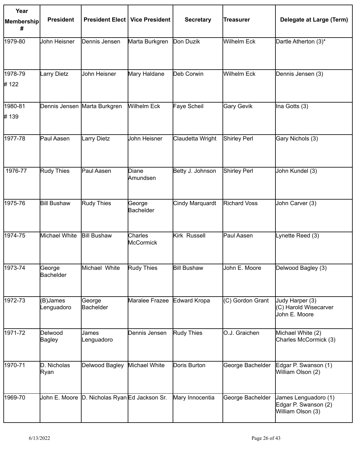| Year            |                            |                                               |                      |                    |                     |                                                                   |
|-----------------|----------------------------|-----------------------------------------------|----------------------|--------------------|---------------------|-------------------------------------------------------------------|
| Membership<br># | <b>President</b>           | <b>President Elect   Vice President</b>       |                      | <b>Secretary</b>   | <b>Treasurer</b>    | Delegate at Large (Term)                                          |
| 1979-80         | John Heisner               | Dennis Jensen                                 | Marta Burkgren       | Don Duzik          | Wilhelm Eck         | Dartle Atherton (3)*                                              |
| 1978-79         | Larry Dietz                | John Heisner                                  | Mary Haldane         | Deb Corwin         | Wilhelm Eck         | Dennis Jensen (3)                                                 |
| # 122           |                            |                                               |                      |                    |                     |                                                                   |
| 1980-81         |                            | Dennis Jensen Marta Burkgren                  | <b>Wilhelm Eck</b>   | Faye Scheil        | Gary Gevik          | Ina Gotts (3)                                                     |
| #139            |                            |                                               |                      |                    |                     |                                                                   |
| 1977-78         | Paul Aasen                 | <b>Larry Dietz</b>                            | John Heisner         | Claudetta Wright   | Shirley Perl        | Gary Nichols (3)                                                  |
| 1976-77         | Rudy Thies                 | Paul Aasen                                    | Diane<br>Amundsen    | Betty J. Johnson   | Shirley Perl        | John Kundel (3)                                                   |
| 1975-76         | <b>Bill Bushaw</b>         | Rudy Thies                                    | George<br>Bachelder  | Cindy Marquardt    | <b>Richard Voss</b> | John Carver (3)                                                   |
| 1974-75         | Michael White              | <b>Bill Bushaw</b>                            | Charles<br>McCormick | Kirk Russell       | Paul Aasen          | Lynette Reed (3)                                                  |
| 1973-74         | George<br><b>Bachelder</b> | Michael White                                 | Rudy Thies           | <b>Bill Bushaw</b> | John E. Moore       | Delwood Bagley (3)                                                |
| 1972-73         | (B)James<br>Lenguadoro     | George<br>Bachelder                           | Maralee Frazee       | Edward Kropa       | (C) Gordon Grant    | Judy Harper (3)<br>(C) Harold Wisecarver<br>John E. Moore         |
| 1971-72         | Delwood<br><b>Bagley</b>   | James<br>Lenguadoro                           | Dennis Jensen        | Rudy Thies         | O.J. Graichen       | Michael White (2)<br>Charles McCormick (3)                        |
| 1970-71         | D. Nicholas<br>Ryan        | Delwood Bagley                                | Michael White        | Doris Burton       | George Bachelder    | Edgar P. Swanson (1)<br>William Olson (2)                         |
| 1969-70         |                            | John E. Moore D. Nicholas Ryan Ed Jackson Sr. |                      | Mary Innocentia    | George Bachelder    | James Lenguadoro (1)<br>Edgar P. Swanson (2)<br>William Olson (3) |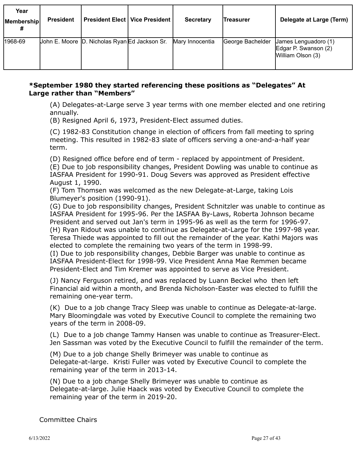| Year<br>Membership | <b>President</b> | <b>President Elect   Vice President</b>       | <b>Secretary</b> | Treasurer        | Delegate at Large (Term)                                          |
|--------------------|------------------|-----------------------------------------------|------------------|------------------|-------------------------------------------------------------------|
| 1968-69            |                  | John E. Moore D. Nicholas Ryan Ed Jackson Sr. | Mary Innocentia  | George Bachelder | James Lenguadoro (1)<br>Edgar P. Swanson (2)<br>William Olson (3) |

# **\*September 1980 they started referencing these positions as "Delegates" At Large rather than "Members"**

(A) Delegates-at-Large serve 3 year terms with one member elected and one retiring annually.

(B) Resigned April 6, 1973, President-Elect assumed duties.

(C) 1982-83 Constitution change in election of officers from fall meeting to spring meeting. This resulted in 1982-83 slate of officers serving a one-and-a-half year term.

(D) Resigned office before end of term - replaced by appointment of President. (E) Due to job responsibility changes, President Dowling was unable to continue as IASFAA President for 1990-91. Doug Severs was approved as President effective August 1, 1990.

(F) Tom Thomsen was welcomed as the new Delegate-at-Large, taking Lois Blumeyer's position (1990-91).

(G) Due to job responsibility changes, President Schnitzler was unable to continue as IASFAA President for 1995-96. Per the IASFAA By-Laws, Roberta Johnson became President and served out Jan's term in 1995-96 as well as the term for 1996-97. (H) Ryan Ridout was unable to continue as Delegate-at-Large for the 1997-98 year. Teresa Thiede was appointed to fill out the remainder of the year. Kathi Majors was elected to complete the remaining two years of the term in 1998-99.

(I) Due to job responsibility changes, Debbie Barger was unable to continue as IASFAA President-Elect for 1998-99. Vice President Anna Mae Remmen became President-Elect and Tim Kremer was appointed to serve as Vice President.

(J) Nancy Ferguson retired, and was replaced by Luann Beckel who then left Financial aid within a month, and Brenda Nicholson-Easter was elected to fulfill the remaining one-year term.

(K) Due to a job change Tracy Sleep was unable to continue as Delegate-at-large. Mary Bloomingdale was voted by Executive Council to complete the remaining two years of the term in 2008-09.

(L) Due to a job change Tammy Hansen was unable to continue as Treasurer-Elect. Jen Sassman was voted by the Executive Council to fulfill the remainder of the term.

(M) Due to a job change Shelly Brimeyer was unable to continue as Delegate-at-large. Kristi Fuller was voted by Executive Council to complete the remaining year of the term in 2013-14.

(N) Due to a job change Shelly Brimeyer was unable to continue as Delegate-at-large. Julie Haack was voted by Executive Council to complete the remaining year of the term in 2019-20.

Committee Chairs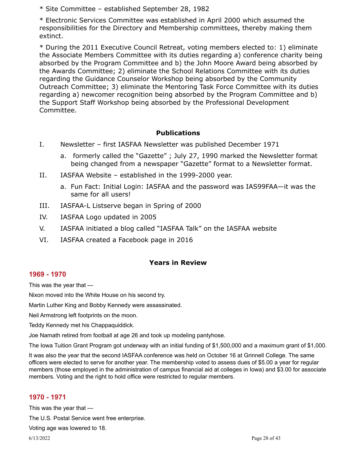\* Site Committee – established September 28, 1982

\* Electronic Services Committee was established in April 2000 which assumed the responsibilities for the Directory and Membership committees, thereby making them extinct.

\* During the 2011 Executive Council Retreat, voting members elected to: 1) eliminate the Associate Members Committee with its duties regarding a) conference charity being absorbed by the Program Committee and b) the John Moore Award being absorbed by the Awards Committee; 2) eliminate the School Relations Committee with its duties regarding the Guidance Counselor Workshop being absorbed by the Community Outreach Committee; 3) eliminate the Mentoring Task Force Committee with its duties regarding a) newcomer recognition being absorbed by the Program Committee and b) the Support Staff Workshop being absorbed by the Professional Development Committee.

# **Publications**

- I. Newsletter first IASFAA Newsletter was published December 1971
	- a. formerly called the "Gazette" ; July 27, 1990 marked the Newsletter format being changed from a newspaper "Gazette" format to a Newsletter format.
- II. IASFAA Website established in the 1999-2000 year.
	- a. Fun Fact: Initial Login: IASFAA and the password was IAS99FAA—it was the same for all users!
- III. IASFAA-L Listserve began in Spring of 2000
- IV. IASFAA Logo updated in 2005
- V. IASFAA initiated a blog called "IASFAA Talk" on the IASFAA website
- VI. IASFAA created a Facebook page in 2016

# **Years in Review**

# **1969 - 1970**

This was the year that —

Nixon moved into the White House on his second try.

Martin Luther King and Bobby Kennedy were assassinated.

Neil Armstrong left footprints on the moon.

Teddy Kennedy met his Chappaquiddick.

Joe Namath retired from football at age 26 and took up modeling pantyhose.

The Iowa Tuition Grant Program got underway with an initial funding of \$1,500,000 and a maximum grant of \$1,000.

It was also the year that the second IASFAA conference was held on October 16 at Grinnell College. The same officers were elected to serve for another year. The membership voted to assess dues of \$5.00 a year for regular members (those employed in the administration of campus financial aid at colleges in Iowa) and \$3.00 for associate members. Voting and the right to hold office were restricted to regular members.

# **1970 - 1971**

This was the year that —

The U.S. Postal Service went free enterprise.

Voting age was lowered to 18.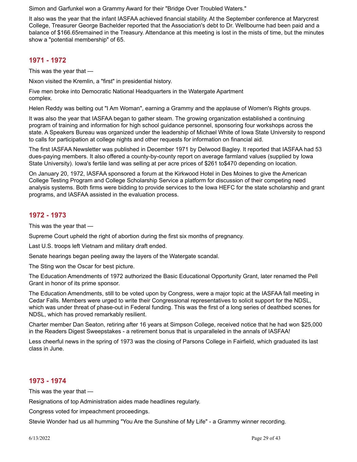Simon and Garfunkel won a Grammy Award for their "Bridge Over Troubled Waters."

It also was the year that the infant IASFAA achieved financial stability. At the September conference at Marycrest College, Treasurer George Bachelder reported that the Association's debt to Dr. Wellbourne had been paid and a balance of \$166.65remained in the Treasury. Attendance at this meeting is lost in the mists of time, but the minutes show a "potential membership" of 65.

# **1971 - 1972**

This was the year that —

Nixon visited the Kremlin, a "first" in presidential history.

Five men broke into Democratic National Headquarters in the Watergate Apartment complex.

Helen Reddy was belting out "I Am Woman", earning a Grammy and the applause of Women's Rights groups.

It was also the year that IASFAA began to gather steam. The growing organization established a continuing program of training and information for high school guidance personnel, sponsoring four workshops across the state. A Speakers Bureau was organized under the leadership of Michael White of Iowa State University to respond to calls for participation at college nights and other requests for information on financial aid.

The first IASFAA Newsletter was published in December 1971 by Delwood Bagley. It reported that IASFAA had 53 dues-paying members. It also offered a county-by-county report on average farmland values (supplied by Iowa State University). Iowa's fertile land was selling at per acre prices of \$261 to\$470 depending on location.

On January 20, 1972, IASFAA sponsored a forum at the Kirkwood Hotel in Des Moines to give the American College Testing Program and College Scholarship Service a platform for discussion of their competing need analysis systems. Both firms were bidding to provide services to the Iowa HEFC for the state scholarship and grant programs, and IASFAA assisted in the evaluation process.

# **1972 - 1973**

This was the year that —

Supreme Court upheld the right of abortion during the first six months of pregnancy.

Last U.S. troops left Vietnam and military draft ended.

Senate hearings began peeling away the layers of the Watergate scandal.

The Sting won the Oscar for best picture.

The Education Amendments of 1972 authorized the Basic Educational Opportunity Grant, later renamed the Pell Grant in honor of its prime sponsor.

The Education Amendments, still to be voted upon by Congress, were a major topic at the IASFAA fall meeting in Cedar Falls. Members were urged to write their Congressional representatives to solicit support for the NDSL, which was under threat of phase-out in Federal funding. This was the first of a long series of deathbed scenes for NDSL, which has proved remarkably resilient.

Charter member Dan Seaton, retiring after 16 years at Simpson College, received notice that he had won \$25,000 in the Readers Digest Sweepstakes - a retirement bonus that is unparalleled in the annals of IASFAA!

Less cheerful news in the spring of 1973 was the closing of Parsons College in Fairfield, which graduated its last class in June.

# **1973 - 1974**

This was the year that —

Resignations of top Administration aides made headlines regularly.

Congress voted for impeachment proceedings.

Stevie Wonder had us all humming "You Are the Sunshine of My Life" - a Grammy winner recording.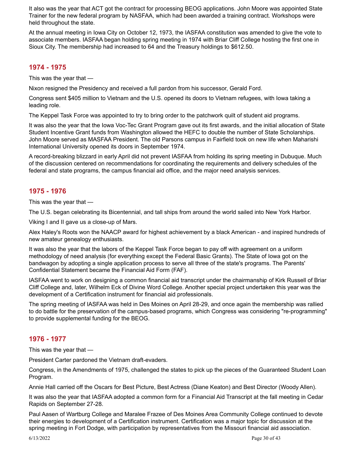It also was the year that ACT got the contract for processing BEOG applications. John Moore was appointed State Trainer for the new federal program by NASFAA, which had been awarded a training contract. Workshops were held throughout the state.

At the annual meeting in Iowa City on October 12, 1973, the IASFAA constitution was amended to give the vote to associate members. IASFAA began holding spring meeting in 1974 with Briar Cliff College hosting the first one in Sioux City. The membership had increased to 64 and the Treasury holdings to \$612.50.

#### **1974 - 1975**

This was the year that —

Nixon resigned the Presidency and received a full pardon from his successor, Gerald Ford.

Congress sent \$405 million to Vietnam and the U.S. opened its doors to Vietnam refugees, with Iowa taking a leading role.

The Keppel Task Force was appointed to try to bring order to the patchwork quilt of student aid programs.

It was also the year that the Iowa Voc-Tec Grant Program gave out its first awards, and the initial allocation of State Student Incentive Grant funds from Washington allowed the HEFC to double the number of State Scholarships. John Moore served as MASFAA President. The old Parsons campus in Fairfield took on new life when Maharishi International University opened its doors in September 1974.

A record-breaking blizzard in early April did not prevent IASFAA from holding its spring meeting in Dubuque. Much of the discussion centered on recommendations for coordinating the requirements and delivery schedules of the federal and state programs, the campus financial aid office, and the major need analysis services.

#### **1975 - 1976**

This was the year that —

The U.S. began celebrating its Bicentennial, and tall ships from around the world sailed into New York Harbor.

Viking I and II gave us a close-up of Mars.

Alex Haley's Roots won the NAACP award for highest achievement by a black American - and inspired hundreds of new amateur genealogy enthusiasts.

It was also the year that the labors of the Keppel Task Force began to pay off with agreement on a uniform methodology of need analysis (for everything except the Federal Basic Grants). The State of Iowa got on the bandwagon by adopting a single application process to serve all three of the state's programs. The Parents' Confidential Statement became the Financial Aid Form (FAF).

IASFAA went to work on designing a common financial aid transcript under the chairmanship of Kirk Russell of Briar Cliff College and, later, Wilhelm Eck of Divine Word College. Another special project undertaken this year was the development of a Certification instrument for financial aid professionals.

The spring meeting of IASFAA was held in Des Moines on April 28-29, and once again the membership was rallied to do battle for the preservation of the campus-based programs, which Congress was considering "re-programming" to provide supplemental funding for the BEOG.

# **1976 - 1977**

This was the year that —

President Carter pardoned the Vietnam draft-evaders.

Congress, in the Amendments of 1975, challenged the states to pick up the pieces of the Guaranteed Student Loan Program.

Annie Hall carried off the Oscars for Best Picture, Best Actress (Diane Keaton) and Best Director (Woody Allen).

It was also the year that IASFAA adopted a common form for a Financial Aid Transcript at the fall meeting in Cedar Rapids on September 27-28.

Paul Aasen of Wartburg College and Maralee Frazee of Des Moines Area Community College continued to devote their energies to development of a Certification instrument. Certification was a major topic for discussion at the spring meeting in Fort Dodge, with participation by representatives from the Missouri financial aid association.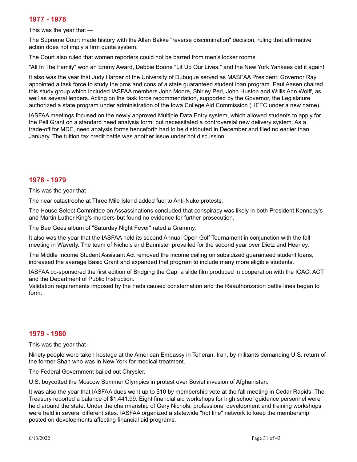# **1977 - 1978**

This was the year that —

The Supreme Court made history with the Allan Bakke "reverse discrimination" decision, ruling that affirmative action does not imply a firm quota system.

The Court also ruled that women reporters could not be barred from men's locker rooms.

"All In The Family" won an Emmy Award, Debbie Boone "Lit Up Our Lives," and the New York Yankees did it again!

It also was the year that Judy Harper of the University of Dubuque served as MASFAA President. Governor Ray appointed a task force to study the pros and cons of a state guaranteed student loan program. Paul Aasen chaired this study group which included IASFAA members John Moore, Shirley Perl, John Huston and Willis Ann Wolff, as well as several lenders. Acting on the task force recommendation, supported by the Governor, the Legislature authorized a state program under administration of the Iowa College Aid Commission (HEFC under a new name).

IASFAA meetings focused on the newly approved Multiple Data Entry system, which allowed students to apply for the Pell Grant on a standard need analysis form, but necessitated a controversial new delivery system. As a trade-off for MDE, need analysis forms henceforth had to be distributed in December and filed no earlier than January. The tuition tax credit battle was another issue under hot discussion.

# **1978 - 1979**

This was the year that —

The near catastrophe at Three Mile Island added fuel to Anti-Nuke protests.

The House Select Committee on Assassinations concluded that conspiracy was likely in both President Kennedy's and Martin Luther King's murders-but found no evidence for further prosecution.

The Bee Gees album of "Saturday Night Fever" rated a Grammy.

It also was the year that the IASFAA held its second Annual Open Golf Tournament in conjunction with the fall meeting in Waverly. The team of Nichols and Bannister prevailed for the second year over Dietz and Heaney.

The Middle Income Student Assistant Act removed the income ceiling on subsidized guaranteed student loans, increased the average Basic Grant and expanded that program to include many more eligible students.

IASFAA co-sponsored the first edition of Bridging the Gap, a slide film produced in cooperation with the ICAC, ACT and the Department of Public Instruction.

Validation requirements imposed by the Feds caused consternation and the Reauthorization battle lines began to form.

# **1979 - 1980**

This was the year that —

Ninety people were taken hostage at the American Embassy in Teheran, Iran, by militants demanding U.S. return of the former Shah who was in New York for medical treatment.

The Federal Government bailed out Chrysler.

U.S. boycotted the Moscow Summer Olympics in protest over Soviet invasion of Afghanistan.

It was also the year that IASFAA dues went up to \$10 by membership vote at the fall meeting in Cedar Rapids. The Treasury reported a balance of \$1,441.99. Eight financial aid workshops for high school guidance personnel were held around the state. Under the chairmanship of Gary Nichols, professional development and training workshops were held in several different sites. IASFAA organized a statewide "hot line" network to keep the membership posted on developments affecting financial aid programs.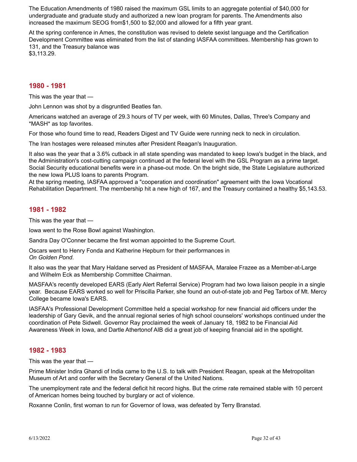The Education Amendments of 1980 raised the maximum GSL limits to an aggregate potential of \$40,000 for undergraduate and graduate study and authorized a new loan program for parents. The Amendments also increased the maximum SEOG from\$1,500 to \$2,000 and allowed for a fifth year grant.

At the spring conference in Ames, the constitution was revised to delete sexist language and the Certification Development Committee was eliminated from the list of standing IASFAA committees. Membership has grown to 131, and the Treasury balance was

\$3,113.29.

#### **1980 - 1981**

This was the year that —

John Lennon was shot by a disgruntled Beatles fan.

Americans watched an average of 29.3 hours of TV per week, with 60 Minutes, Dallas, Three's Company and \*MASH\* as top favorites.

For those who found time to read, Readers Digest and TV Guide were running neck to neck in circulation.

The Iran hostages were released minutes after President Reagan's Inauguration.

It also was the year that a 3.6% cutback in all state spending was mandated to keep Iowa's budget in the black, and the Administration's cost-cutting campaign continued at the federal level with the GSL Program as a prime target. Social Security educational benefits were in a phase-out mode. On the bright side, the State Legislature authorized the new Iowa PLUS loans to parents Program.

At the spring meeting, IASFAA approved a "cooperation and coordination" agreement with the Iowa Vocational Rehabilitation Department. The membership hit a new high of 167, and the Treasury contained a healthy \$5,143.53.

#### **1981 - 1982**

This was the year that —

Iowa went to the Rose Bowl against Washington.

Sandra Day O'Conner became the first woman appointed to the Supreme Court.

Oscars went to Henry Fonda and Katherine Hepburn for their performances in *On Golden Pond*.

It also was the year that Mary Haldane served as President of MASFAA, Maralee Frazee as a Member-at-Large and Wilhelm Eck as Membership Committee Chairman.

MASFAA's recently developed EARS (Early Alert Referral Service) Program had two Iowa liaison people in a single year. Because EARS worked so well for Priscilla Parker, she found an out-of-state job and Peg Tarbox of Mt. Mercy College became Iowa's EARS.

IASFAA's Professional Development Committee held a special workshop for new financial aid officers under the leadership of Gary Gevik, and the annual regional series of high school counselors' workshops continued under the coordination of Pete Sidwell. Governor Ray proclaimed the week of January 18, 1982 to be Financial Aid Awareness Week in Iowa, and Dartle Athertonof AIB did a great job of keeping financial aid in the spotlight.

#### **1982 - 1983**

This was the year that —

Prime Minister Indira Ghandi of India came to the U.S. to talk with President Reagan, speak at the Metropolitan Museum of Art and confer with the Secretary General of the United Nations.

The unemployment rate and the federal deficit hit record highs. But the crime rate remained stable with 10 percent of American homes being touched by burglary or act of violence.

Roxanne Conlin, first woman to run for Governor of Iowa, was defeated by Terry Branstad.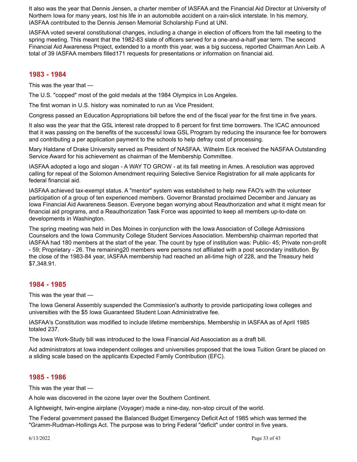It also was the year that Dennis Jensen, a charter member of IASFAA and the Financial Aid Director at University of Northern Iowa for many years, lost his life in an automobile accident on a rain-slick interstate. In his memory, IASFAA contributed to the Dennis Jensen Memorial Scholarship Fund at UNI.

IASFAA voted several constitutional changes, including a change in election of officers from the fall meeting to the spring meeting. This meant that the 1982-83 slate of officers served for a one-and-a-half year term. The second Financial Aid Awareness Project, extended to a month this year, was a big success, reported Chairman Ann Leib. A total of 39 IASFAA members filled171 requests for presentations or information on financial aid.

### **1983 - 1984**

This was the year that —

The U.S. "copped" most of the gold medals at the 1984 Olympics in Los Angeles.

The first woman in U.S. history was nominated to run as Vice President.

Congress passed an Education Appropriations bill before the end of the fiscal year for the first time in five years.

It also was the year that the GSL interest rate dropped to 8 percent for first time borrowers. The ICAC announced that it was passing on the benefits of the successful Iowa GSL Program by reducing the insurance fee for borrowers and contributing a per application payment to the schools to help defray cost of processing.

Mary Haldane of Drake University served as President of NASFAA. Wilhelm Eck received the NASFAA Outstanding Service Award for his achievement as chairman of the Membership Committee.

IASFAA adopted a logo and slogan - A WAY TO GROW - at its fall meeting in Ames. A resolution was approved calling for repeal of the Solomon Amendment requiring Selective Service Registration for all male applicants for federal financial aid.

IASFAA achieved tax-exempt status. A "mentor" system was established to help new FAO's with the volunteer participation of a group of ten experienced members. Governor Branstad proclaimed December and January as Iowa Financial Aid Awareness Season. Everyone began worrying about Reauthorization and what it might mean for financial aid programs, and a Reauthorization Task Force was appointed to keep all members up-to-date on developments in Washington.

The spring meeting was held in Des Moines in conjunction with the Iowa Association of College Admissions Counselors and the Iowa Community College Student Services Association. Membership chairman reported that IASFAA had 180 members at the start of the year. The count by type of institution was: Public- 45; Private non-profit - 59; Proprietary - 26. The remaining20 members were persons not affiliated with a post secondary institution. By the close of the 1983-84 year, IASFAA membership had reached an all-time high of 228, and the Treasury held \$7,348.91.

# **1984 - 1985**

This was the year that —

The Iowa General Assembly suspended the Commission's authority to provide participating Iowa colleges and universities with the \$5 Iowa Guaranteed Student Loan Administrative fee.

IASFAA's Constitution was modified to include lifetime memberships. Membership in IASFAA as of April 1985 totaled 237.

The Iowa Work-Study bill was introduced to the Iowa Financial Aid Association as a draft bill.

Aid administrators at Iowa independent colleges and universities proposed that the Iowa Tuition Grant be placed on a sliding scale based on the applicants Expected Family Contribution (EFC).

#### **1985 - 1986**

This was the year that —

A hole was discovered in the ozone layer over the Southern Continent.

A lightweight, twin-engine airplane (Voyager) made a nine-day, non-stop circuit of the world.

The Federal government passed the Balanced Budget Emergency Deficit Act of 1985 which was termed the "Gramm-Rudman-Hollings Act. The purpose was to bring Federal "deficit" under control in five years.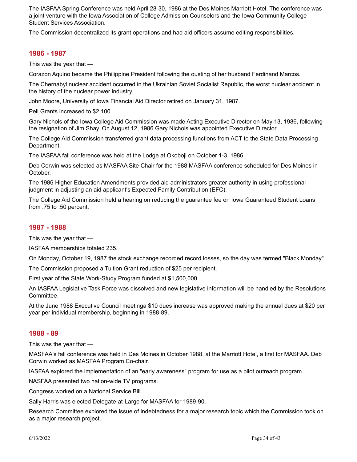The IASFAA Spring Conference was held April 28-30, 1986 at the Des Moines Marriott Hotel. The conference was a joint venture with the Iowa Association of College Admission Counselors and the Iowa Community College Student Services Association.

The Commission decentralized its grant operations and had aid officers assume editing responsibilities.

# **1986 - 1987**

This was the year that —

Corazon Aquino became the Philippine President following the ousting of her husband Ferdinand Marcos.

The Chernabyl nuclear accident occurred in the Ukrainian Soviet Socialist Republic, the worst nuclear accident in the history of the nuclear power industry.

John Moore, University of Iowa Financial Aid Director retired on January 31, 1987.

Pell Grants increased to \$2,100.

Gary Nichols of the Iowa College Aid Commission was made Acting Executive Director on May 13, 1986, following the resignation of Jim Shay. On August 12, 1986 Gary Nichols was appointed Executive Director.

The College Aid Commission transferred grant data processing functions from ACT to the State Data Processing Department.

The IASFAA fall conference was held at the Lodge at Okoboji on October 1-3, 1986.

Deb Corwin was selected as MASFAA Site Chair for the 1988 MASFAA conference scheduled for Des Moines in October.

The 1986 Higher Education Amendments provided aid administrators greater authority in using professional judgment in adjusting an aid applicant's Expected Family Contribution (EFC).

The College Aid Commission held a hearing on reducing the guarantee fee on Iowa Guaranteed Student Loans from .75 to .50 percent.

### **1987 - 1988**

This was the year that —

IASFAA memberships totaled 235.

On Monday, October 19, 1987 the stock exchange recorded record losses, so the day was termed "Black Monday".

The Commission proposed a Tuition Grant reduction of \$25 per recipient.

First year of the State Work-Study Program funded at \$1,500,000.

An IASFAA Legislative Task Force was dissolved and new legislative information will be handled by the Resolutions Committee.

At the June 1988 Executive Council meetinga \$10 dues increase was approved making the annual dues at \$20 per year per individual membership, beginning in 1988-89.

#### **1988 - 89**

This was the year that —

MASFAA's fall conference was held in Des Moines in October 1988, at the Marriott Hotel, a first for MASFAA. Deb Corwin worked as MASFAA Program Co-chair.

IASFAA explored the implementation of an "early awareness" program for use as a pilot outreach program.

NASFAA presented two nation-wide TV programs.

Congress worked on a National Service Bill.

Sally Harris was elected Delegate-at-Large for MASFAA for 1989-90.

Research Committee explored the issue of indebtedness for a major research topic which the Commission took on as a major research project.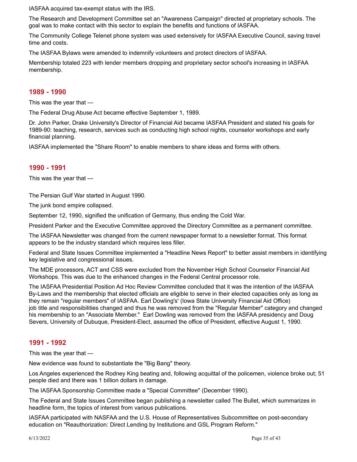IASFAA acquired tax-exempt status with the IRS.

The Research and Development Committee set an "Awareness Campaign" directed at proprietary schools. The goal was to make contact with this sector to explain the benefits and functions of IASFAA.

The Community College Telenet phone system was used extensively for IASFAA Executive Council, saving travel time and costs.

The IASFAA Bylaws were amended to indemnify volunteers and protect directors of IASFAA.

Membership totaled 223 with lender members dropping and proprietary sector school's increasing in IASFAA membership.

#### **1989 - 1990**

This was the year that —

The Federal Drug Abuse Act became effective September 1, 1989.

Dr. John Parker, Drake University's Director of Financial Aid became IASFAA President and stated his goals for 1989-90: teaching, research, services such as conducting high school nights, counselor workshops and early financial planning.

IASFAA implemented the "Share Room" to enable members to share ideas and forms with others.

#### **1990 - 1991**

This was the year that —

The Persian Gulf War started in August 1990.

The junk bond empire collapsed.

September 12, 1990, signified the unification of Germany, thus ending the Cold War.

President Parker and the Executive Committee approved the Directory Committee as a permanent committee.

The IASFAA Newsletter was changed from the current newspaper format to a newsletter format. This format appears to be the industry standard which requires less filler.

Federal and State Issues Committee implemented a "Headline News Report" to better assist members in identifying key legislative and congressional issues.

The MDE processors, ACT and CSS were excluded from the November High School Counselor Financial Aid Workshops. This was due to the enhanced changes in the Federal Central processor role.

The IASFAA Presidential Position Ad Hoc Review Committee concluded that it was the intention of the IASFAA By-Laws and the membership that elected officials are eligible to serve in their elected capacities only as long as they remain "regular members" of IASFAA. Earl Dowling's' (Iowa State University Financial Aid Office) job title and responsibilities changed and thus he was removed from the "Regular Member" category and changed his membership to an "Associate Member." Earl Dowling was removed from the IASFAA presidency and Doug Severs, University of Dubuque, President-Elect, assumed the office of President, effective August 1, 1990.

#### **1991 - 1992**

This was the year that —

New evidence was found to substantiate the "Big Bang" theory.

Los Angeles experienced the Rodney King beating and, following acquittal of the policemen, violence broke out; 51 people died and there was 1 billion dollars in damage.

The IASFAA Sponsorship Committee made a "Special Committee" (December 1990).

The Federal and State Issues Committee began publishing a newsletter called The Bullet, which summarizes in headline form, the topics of interest from various publications.

IASFAA participated with NASFAA and the U.S. House of Representatives Subcommittee on post-secondary education on "Reauthorization: Direct Lending by Institutions and GSL Program Reform."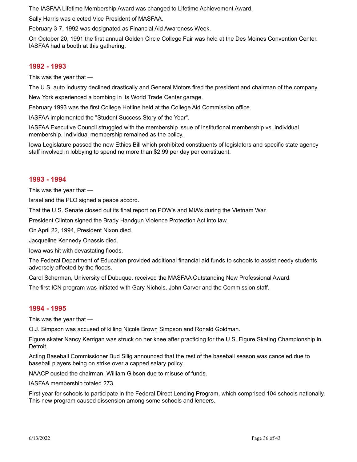The IASFAA Lifetime Membership Award was changed to Lifetime Achievement Award.

Sally Harris was elected Vice President of MASFAA.

February 3-7, 1992 was designated as Financial Aid Awareness Week.

On October 20, 1991 the first annual Golden Circle College Fair was held at the Des Moines Convention Center. IASFAA had a booth at this gathering.

#### **1992 - 1993**

This was the year that —

The U.S. auto industry declined drastically and General Motors fired the president and chairman of the company.

New York experienced a bombing in its World Trade Center garage.

February 1993 was the first College Hotline held at the College Aid Commission office.

IASFAA implemented the "Student Success Story of the Year".

IASFAA Executive Council struggled with the membership issue of institutional membership vs. individual membership. Individual membership remained as the policy.

Iowa Legislature passed the new Ethics Bill which prohibited constituents of legislators and specific state agency staff involved in lobbying to spend no more than \$2.99 per day per constituent.

#### **1993 - 1994**

This was the year that —

Israel and the PLO signed a peace accord.

That the U.S. Senate closed out its final report on POW's and MIA's during the Vietnam War.

President Clinton signed the Brady Handgun Violence Protection Act into law.

On April 22, 1994, President Nixon died.

Jacqueline Kennedy Onassis died.

Iowa was hit with devastating floods.

The Federal Department of Education provided additional financial aid funds to schools to assist needy students adversely affected by the floods.

Carol Scherman, University of Dubuque, received the MASFAA Outstanding New Professional Award.

The first ICN program was initiated with Gary Nichols, John Carver and the Commission staff.

#### **1994 - 1995**

This was the year that —

O.J. Simpson was accused of killing Nicole Brown Simpson and Ronald Goldman.

Figure skater Nancy Kerrigan was struck on her knee after practicing for the U.S. Figure Skating Championship in Detroit.

Acting Baseball Commissioner Bud Silig announced that the rest of the baseball season was canceled due to baseball players being on strike over a capped salary policy.

NAACP ousted the chairman, William Gibson due to misuse of funds.

IASFAA membership totaled 273.

First year for schools to participate in the Federal Direct Lending Program, which comprised 104 schools nationally. This new program caused dissension among some schools and lenders.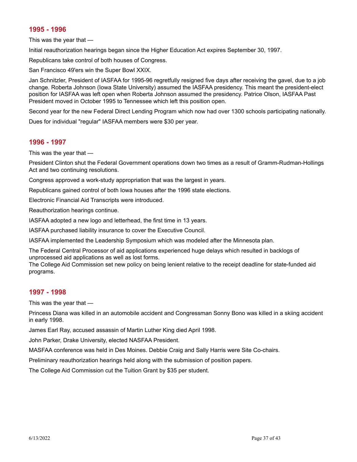# **1995 - 1996**

This was the year that —

Initial reauthorization hearings began since the Higher Education Act expires September 30, 1997.

Republicans take control of both houses of Congress.

San Francisco 49'ers win the Super Bowl XXIX.

Jan Schnitzler, President of IASFAA for 1995-96 regretfully resigned five days after receiving the gavel, due to a job change. Roberta Johnson (Iowa State University) assumed the IASFAA presidency. This meant the president-elect position for IASFAA was left open when Roberta Johnson assumed the presidency. Patrice Olson, IASFAA Past President moved in October 1995 to Tennessee which left this position open.

Second year for the new Federal Direct Lending Program which now had over 1300 schools participating nationally.

Dues for individual "regular" IASFAA members were \$30 per year.

# **1996 - 1997**

This was the year that —

President Clinton shut the Federal Government operations down two times as a result of Gramm-Rudman-Hollings Act and two continuing resolutions.

Congress approved a work-study appropriation that was the largest in years.

Republicans gained control of both Iowa houses after the 1996 state elections.

Electronic Financial Aid Transcripts were introduced.

Reauthorization hearings continue.

IASFAA adopted a new logo and letterhead, the first time in 13 years.

IASFAA purchased liability insurance to cover the Executive Council.

IASFAA implemented the Leadership Symposium which was modeled after the Minnesota plan.

The Federal Central Processor of aid applications experienced huge delays which resulted in backlogs of unprocessed aid applications as well as lost forms.

The College Aid Commission set new policy on being lenient relative to the receipt deadline for state-funded aid programs.

# **1997 - 1998**

This was the year that —

Princess Diana was killed in an automobile accident and Congressman Sonny Bono was killed in a skiing accident in early 1998.

James Earl Ray, accused assassin of Martin Luther King died April 1998.

John Parker, Drake University, elected NASFAA President.

MASFAA conference was held in Des Moines. Debbie Craig and Sally Harris were Site Co-chairs.

Preliminary reauthorization hearings held along with the submission of position papers.

The College Aid Commission cut the Tuition Grant by \$35 per student.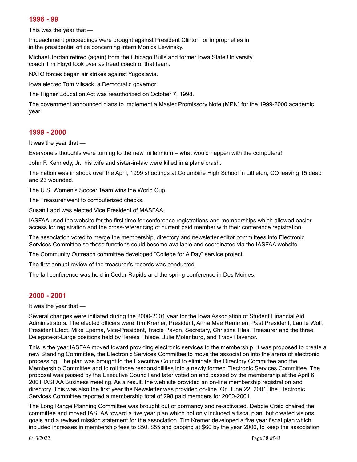#### **1998 - 99**

This was the year that —

Impeachment proceedings were brought against President Clinton for improprieties in in the presidential office concerning intern Monica Lewinsky.

Michael Jordan retired (again) from the Chicago Bulls and former Iowa State University coach Tim Floyd took over as head coach of that team.

NATO forces began air strikes against Yugoslavia.

Iowa elected Tom Vilsack, a Democratic governor.

The Higher Education Act was reauthorized on October 7, 1998.

The government announced plans to implement a Master Promissory Note (MPN) for the 1999-2000 academic year.

#### **1999 - 2000**

It was the year that —

Everyone's thoughts were turning to the new millennium – what would happen with the computers!

John F. Kennedy, Jr., his wife and sister-in-law were killed in a plane crash.

The nation was in shock over the April, 1999 shootings at Columbine High School in Littleton, CO leaving 15 dead and 23 wounded.

The U.S. Women's Soccer Team wins the World Cup.

The Treasurer went to computerized checks.

Susan Ladd was elected Vice President of MASFAA.

IASFAA used the website for the first time for conference registrations and memberships which allowed easier access for registration and the cross-referencing of current paid member with their conference registration.

The association voted to merge the membership, directory and newsletter editor committees into Electronic Services Committee so these functions could become available and coordinated via the IASFAA website.

The Community Outreach committee developed "College for A Day" service project.

The first annual review of the treasurer's records was conducted.

The fall conference was held in Cedar Rapids and the spring conference in Des Moines.

# **2000 - 2001**

It was the year that —

Several changes were initiated during the 2000-2001 year for the Iowa Association of Student Financial Aid Administrators. The elected officers were Tim Kremer, President, Anna Mae Remmen, Past President, Laurie Wolf, President Elect, Mike Epema, Vice-President, Tracie Pavon, Secretary, Christina Hlas, Treasurer and the three Delegate-at-Large positions held by Teresa Thiede, Julie Molenburg, and Tracy Havenor.

This is the year IASFAA moved toward providing electronic services to the membership. It was proposed to create a new Standing Committee, the Electronic Services Committee to move the association into the arena of electronic processing. The plan was brought to the Executive Council to eliminate the Directory Committee and the Membership Committee and to roll those responsibilities into a newly formed Electronic Services Committee. The proposal was passed by the Executive Council and later voted on and passed by the membership at the April 6, 2001 IASFAA Business meeting. As a result, the web site provided an on-line membership registration and directory. This was also the first year the Newsletter was provided on-line. On June 22, 2001, the Electronic Services Committee reported a membership total of 298 paid members for 2000-2001.

The Long Range Planning Committee was brought out of dormancy and re-activated. Debbie Craig chaired the committee and moved IASFAA toward a five year plan which not only included a fiscal plan, but created visions, goals and a revised mission statement for the association. Tim Kremer developed a five year fiscal plan which included increases in membership fees to \$50, \$55 and capping at \$60 by the year 2006, to keep the association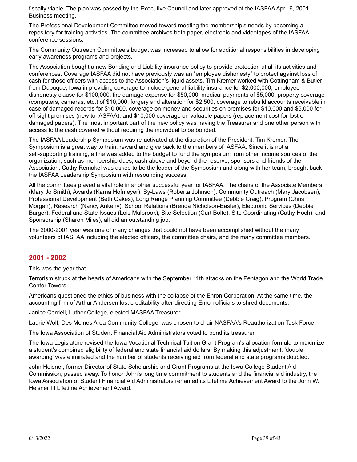fiscally viable. The plan was passed by the Executive Council and later approved at the IASFAA April 6, 2001 Business meeting.

The Professional Development Committee moved toward meeting the membership's needs by becoming a repository for training activities. The committee archives both paper, electronic and videotapes of the IASFAA conference sessions.

The Community Outreach Committee's budget was increased to allow for additional responsibilities in developing early awareness programs and projects.

The Association bought a new Bonding and Liability insurance policy to provide protection at all its activities and conferences. Coverage IASFAA did not have previously was an "employee dishonesty" to protect against loss of cash for those officers with access to the Association's liquid assets. Tim Kremer worked with Cottingham & Butler from Dubuque, Iowa in providing coverage to include general liability insurance for \$2,000,000, employee dishonesty clause for \$100,000, fire damage expense for \$50,000, medical payments of \$5,000, property coverage (computers, cameras, etc.) of \$10,000, forgery and alteration for \$2,500, coverage to rebuild accounts receivable in case of damaged records for \$10,000, coverage on money and securities on premises for \$10,000 and \$5,000 for off-sight premises (new to IASFAA), and \$10,000 coverage on valuable papers (replacement cost for lost or damaged papers). The most important part of the new policy was having the Treasurer and one other person with access to the cash covered without requiring the individual to be bonded.

The IASFAA Leadership Symposium was re-activated at the discretion of the President, Tim Kremer. The Symposium is a great way to train, reward and give back to the members of IASFAA. Since it is not a self-supporting training, a line was added to the budget to fund the symposium from other income sources of the organization, such as membership dues, cash above and beyond the reserve, sponsors and friends of the Association. Cathy Remakel was asked to be the leader of the Symposium and along with her team, brought back the IASFAA Leadership Symposium with resounding success.

All the committees played a vital role in another successful year for IASFAA. The chairs of the Associate Members (Mary Jo Smith), Awards (Karna Hofmeyer), By-Laws (Roberta Johnson), Community Outreach (Mary Jacobsen), Professional Development (Beth Oakes), Long Range Planning Committee (Debbie Craig), Program (Chris Morgan), Research (Nancy Ankeny), School Relations (Brenda Nicholson-Easter), Electronic Services (Debbie Barger), Federal and State Issues (Lois Mulbrook), Site Selection (Curt Bolte), Site Coordinating (Cathy Hoch), and Sponsorship (Sharon Miles), all did an outstanding job.

The 2000-2001 year was one of many changes that could not have been accomplished without the many volunteers of IASFAA including the elected officers, the committee chairs, and the many committee members.

#### **2001 - 2002**

This was the year that —

Terrorism struck at the hearts of Americans with the September 11th attacks on the Pentagon and the World Trade Center Towers.

Americans questioned the ethics of business with the collapse of the Enron Corporation. At the same time, the accounting firm of Arthur Andersen lost creditability after directing Enron officials to shred documents.

Janice Cordell, Luther College, elected MASFAA Treasurer.

Laurie Wolf, Des Moines Area Community College, was chosen to chair NASFAA's Reauthorization Task Force.

The Iowa Association of Student Financial Aid Administrators voted to bond its treasurer.

The Iowa Legislature revised the Iowa Vocational Technical Tuition Grant Program's allocation formula to maximize a student's combined eligibility of federal and state financial aid dollars. By making this adjustment, 'double awarding' was eliminated and the number of students receiving aid from federal and state programs doubled.

John Heisner, former Director of State Scholarship and Grant Programs at the Iowa College Student Aid Commission, passed away. To honor John's long time commitment to students and the financial aid industry, the Iowa Association of Student Financial Aid Administrators renamed its Lifetime Achievement Award to the John W. Heisner III Lifetime Achievement Award.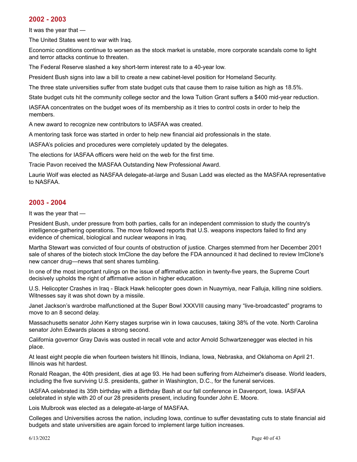#### **2002 - 2003**

It was the year that —

The United States went to war with Iraq.

Economic conditions continue to worsen as the stock market is unstable, more corporate scandals come to light and terror attacks continue to threaten.

The Federal Reserve slashed a key short-term interest rate to a 40-year low.

President Bush signs into law a bill to create a new cabinet-level position for Homeland Security.

The three state universities suffer from state budget cuts that cause them to raise tuition as high as 18.5%.

State budget cuts hit the community college sector and the Iowa Tuition Grant suffers a \$400 mid-year reduction.

IASFAA concentrates on the budget woes of its membership as it tries to control costs in order to help the members.

A new award to recognize new contributors to IASFAA was created.

A mentoring task force was started in order to help new financial aid professionals in the state.

IASFAA's policies and procedures were completely updated by the delegates.

The elections for IASFAA officers were held on the web for the first time.

Tracie Pavon received the MASFAA Outstanding New Professional Award.

Laurie Wolf was elected as NASFAA delegate-at-large and Susan Ladd was elected as the MASFAA representative to NASFAA.

# **2003 - 2004**

It was the year that —

President Bush, under pressure from both parties, calls for an independent commission to study the country's intelligence-gathering operations. The move followed reports that U.S. weapons inspectors failed to find any evidence of chemical, biological and nuclear weapons in Iraq.

Martha Stewart was convicted of four counts of obstruction of justice. Charges stemmed from her December 2001 sale of shares of the biotech stock ImClone the day before the FDA announced it had declined to review ImClone's new cancer drug—news that sent shares tumbling.

In one of the most important rulings on the issue of affirmative action in twenty-five years, the Supreme Court decisively upholds the right of affirmative action in higher education.

U.S. Helicopter Crashes in Iraq - Black Hawk helicopter goes down in Nuaymiya, near Falluja, killing nine soldiers. Witnesses say it was shot down by a missile.

Janet Jackson's wardrobe malfunctioned at the Super Bowl XXXVIII causing many "live-broadcasted" programs to move to an 8 second delay.

Massachusetts senator John Kerry stages surprise win in Iowa caucuses, taking 38% of the vote. North Carolina senator John Edwards places a strong second.

California governor Gray Davis was ousted in recall vote and actor Arnold Schwartzenegger was elected in his place.

At least eight people die when fourteen twisters hit Illinois, Indiana, Iowa, Nebraska, and Oklahoma on April 21. Illinois was hit hardest.

Ronald Reagan, the 40th president, dies at age 93. He had been suffering from Alzheimer's disease. World leaders, including the five surviving U.S. presidents, gather in Washington, D.C., for the funeral services.

IASFAA celebrated its 35th birthday with a Birthday Bash at our fall conference in Davenport, Iowa. IASFAA celebrated in style with 20 of our 28 presidents present, including founder John E. Moore.

Lois Mulbrook was elected as a delegate-at-large of MASFAA.

Colleges and Universities across the nation, including Iowa, continue to suffer devastating cuts to state financial aid budgets and state universities are again forced to implement large tuition increases.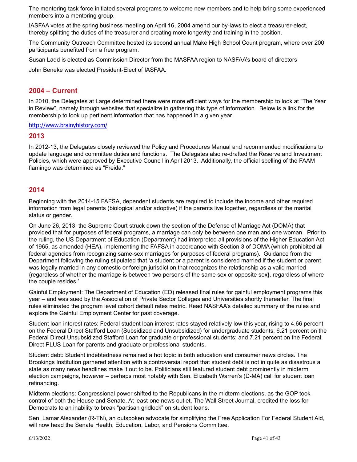The mentoring task force initiated several programs to welcome new members and to help bring some experienced members into a mentoring group.

IASFAA votes at the spring business meeting on April 16, 2004 amend our by-laws to elect a treasurer-elect, thereby splitting the duties of the treasurer and creating more longevity and training in the position.

The Community Outreach Committee hosted its second annual Make High School Count program, where over 200 participants benefited from a free program.

Susan Ladd is elected as Commission Director from the MASFAA region to NASFAA's board of directors

John Beneke was elected President-Elect of IASFAA.

#### **2004 – Current**

In 2010, the Delegates at Large determined there were more efficient ways for the membership to look at "The Year in Review", namely through websites that specialize in gathering this type of information. Below is a link for the membership to look up pertinent information that has happened in a given year.

<http://www.brainyhistory.com/>

#### **2013**

In 2012-13, the Delegates closely reviewed the Policy and Procedures Manual and recommended modifications to update language and committee duties and functions. The Delegates also re-drafted the Reserve and Investment Policies, which were approved by Executive Council in April 2013. Additionally, the official spelling of the FAAM flamingo was determined as "Freida."

#### **2014**

Beginning with the 2014-15 FAFSA, dependent students are required to include the income and other required information from legal parents (biological and/or adoptive) if the parents live together, regardless of the marital status or gender.

On June 26, 2013, the Supreme Court struck down the section of the Defense of Marriage Act (DOMA) that provided that for purposes of federal programs, a marriage can only be between one man and one woman. Prior to the ruling, the US Department of Education (Department) had interpreted all provisions of the Higher Education Act of 1965, as amended (HEA), implementing the FAFSA in accordance with Section 3 of DOMA (which prohibited all federal agencies from recognizing same-sex marriages for purposes of federal programs). Guidance from the Department following the ruling stipulated that 'a student or a parent is considered married if the student or parent was legally married in any domestic or foreign jurisdiction that recognizes the relationship as a valid married {regardless of whether the marriage is between two persons of the same sex or opposite sex}, regardless of where the couple resides.'

Gainful Employment: The Department of Education (ED) released final rules for gainful employment programs this year – and was sued by the Association of Private Sector Colleges and Universities shortly thereafter. The final rules eliminated the program level cohort default rates metric. Read NASFAA's detailed [summary](http://www.nasfaa.org/Main/orig/2014/NASFAA_Summary__Gainful_Employment_Final_Rules.aspx) of the rules and explore the Gainful [Employment](http://www.nasfaa.org/gainful-employment/) Center for past coverage.

Student loan interest rates: Federal student loan interest rates stayed relatively low this year, rising to 4.66 percent on the Federal Direct Stafford Loan (Subsidized and Unsubsidized) for undergraduate students; 6.21 percent on the Federal Direct Unsubsidized Stafford Loan for graduate or professional students; and 7.21 percent on the Federal Direct PLUS Loan for parents and graduate or professional students.

Student debt: Student indebtedness remained a hot topic in both education and consumer news circles. The Brookings Institution garnered attention with a [controversial](http://www.brookings.edu/research/reports/2014/06/24-student-loan-crisis-akers-chingos) report that student debt is not in quite as disastrous a state as many news headlines make it out to be. Politicians still featured student debt prominently in midterm election campaigns, however – perhaps most notably with Sen. Elizabeth Warren's (D-MA) call for student loan refinancing.

Midterm elections: Congressional power shifted to the Republicans in the midterm elections, as the GOP took control of both the House and Senate. At least one news [outlet,](http://www.nasfaa.org/Main/fa-news/blogs/How_Democrats_Owe_Their_Midterm_Losses_to_Student_Loans.aspx) The Wall Street Journal, credited the loss for Democrats to an inability to break "partisan gridlock" on student loans.

Sen. Lamar Alexander (R-TN), an outspoken advocate for simplifying the Free Application For Federal Student Aid, will now [head](http://www.nasfaa.org/Main/fa-news/natl/Alexander_Stakes_Out_Course_As_Head_Of_Senate_Ed_Committee.aspx) the Senate Health, Education, Labor, and Pensions Committee.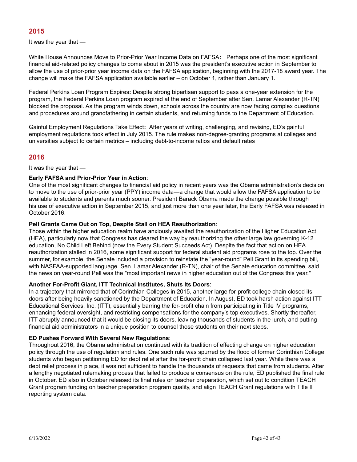# **2015**

It was the year that —

White House Announces Move to Prior-Prior Year Income Data on FAFSA**:** Perhaps one of the most significant financial aid-related policy changes to come about in 2015 was the [president's](https://www.nasfaa.org/ppyresources) executive action in September to allow the use of prior-prior year income data on the FAFSA application, beginning with the 2017-18 award year. The change will make the FAFSA application available earlier – on October 1, rather than January 1.

Federal Perkins Loan Program Expires**:** Despite strong bipartisan support to pass a one-year extension for the program, the Federal Perkins Loan program expired at the end of [September](https://www.nasfaa.org/news-item/6102/Senator_Blocks_Perkins_Program_Expires_With_Grandfathering_In-tact) after Sen. Lamar Alexander (R-TN) blocked the proposal. As the program winds down, schools across the country are now facing complex [questions](https://www.nasfaa.org/news-item/6852/What_We_Think_We_Know_and_Still_Don_t_About_Perkins_Loan_Program_Wind-down) and [procedures](https://www.nasfaa.org/news-item/6852/What_We_Think_We_Know_and_Still_Don_t_About_Perkins_Loan_Program_Wind-down) around grandfathering in certain students, and returning funds to the Department of Education.

Gainful Employment Regulations Take Effect**:** After years of writing, challenging, and revising, ED's gainful employment regulations took effect in July 2015. The rule makes non-degree-granting programs at colleges and universities subject to certain metrics – including debt-to-income ratios and default rates

# **2016**

It was the year that —

#### **Early FAFSA and Prior-Prior Year in Action**:

One of the most significant changes to financial aid policy in recent years was the Obama administration's decision to move to the use of prior-prior year (PPY) income data—a change that would allow the FAFSA application to be available to students and parents much sooner. President Barack Obama made the change possible through his use of [executive](https://www.nasfaa.org/news-item/5871/President_Obama_Tells_Students_There_s_No_Excuse_to_Not_Complete_FAFSA) action in September 2015, and just more than one year later, the Early FAFSA was released in October 2016.

#### **Pell Grants Came Out on Top, Despite Stall on HEA Reauthorization**:

Those within the higher education realm have anxiously awaited the reauthorization of the Higher Education Act (HEA), particularly now that Congress has cleared the way by reauthorizing the other large law governing K-12 education, No Child Left Behind (now the Every Student Succeeds Act). Despite the fact that action on HEA reauthorization stalled in 2016, some significant support for federal student aid programs rose to the top. Over the summer, for example, the Senate included a provision to reinstate the ["year-round"](https://www.nasfaa.org/news-item/8796/Year-Round_Pell_Returns_Pell_Surplus_Takes_a_Hit_in_Senate_Spending_Bill) Pell Grant in its spending bill, with NASFAA-supported language. Sen. Lamar Alexander (R-TN), chair of the Senate education committee, said the news on year-round Pell was the "most important news in higher education out of the Congress this year."

#### **Another For-Profit Giant, ITT Technical Institutes, Shuts Its Doors**:

In a trajectory that mirrored that of Corinthian Colleges in 2015, another large for-profit college chain closed its doors after being heavily sanctioned by the Department of Education. In [August,](https://www.nasfaa.org/news-item/9653/ED_Penalizes_ITT_Bars_For-Profit_Chain_From_Enrolling_New_Title_IV_Students) ED took harsh action against ITT Educational Services, Inc. (ITT), essentially barring the for-profit chain from participating in Title IV programs, enhancing federal oversight, and restricting compensations for the company's top executives. Shortly thereafter, ITT abruptly [announced](https://www.nasfaa.org/news-item/9735/ITT_Announces_Abrupt_Closure_After_Losing_Access_to_Federal_Aid) that it would be closing its doors, leaving thousands of students in the lurch, and putting financial aid administrators in a unique [position](https://www.nasfaa.org/news-item/9760/ITT_Is_Closed_So_What_s_Next_for_Students) to counsel those students on their next steps.

#### **ED Pushes Forward With Several New Regulations**:

Throughout 2016, the Obama administration continued with its tradition of effecting change on higher education policy through the use of regulation and rules. One such rule was spurred by the flood of former Corinthian College students who began petitioning ED for debt relief after the for-profit chain collapsed last year. While there was a debt relief process in place, it was not sufficient to handle the thousands of requests that came from students. After a lengthy negotiated rulemaking process that failed to [produce](https://www.nasfaa.org/news-item/7972/Borrower_Defense_Neg_Reg_Meets_Anti-Climactic_End_Without_Consensus) a consensus on the rule, ED [published](https://www.nasfaa.org/news-item/10264/ED_Releases_Final_Borrower_Defense_Rule_Announces_Pell_Grant_Restoration_Plan) the final rule in October. ED also in October [released](https://www.nasfaa.org/news-item/10101/ED_Releases_Teacher_Preparation_Final_Rules) its final rules on teacher preparation, which set out to condition TEACH Grant program funding on teacher preparation program quality, and align TEACH Grant regulations with Title II reporting system data.